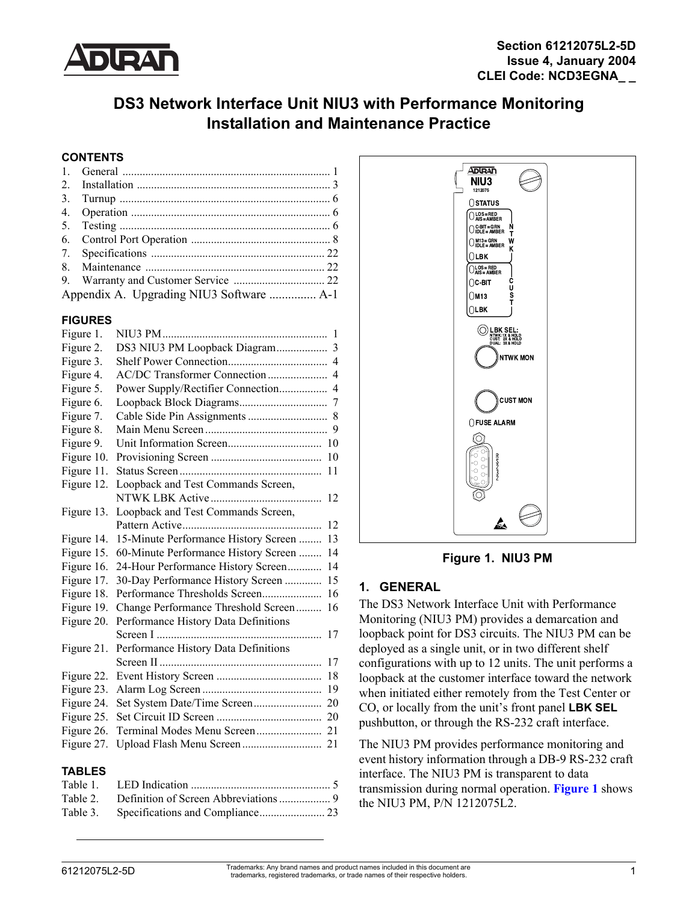

# **DS3 Network Interface Unit NIU3 with Performance Monitoring Installation and Maintenance Practice**

#### **CONTENTS**

| Appendix A. Upgrading NIU3 Software  A-1 |  |
|------------------------------------------|--|

#### **FIGURES**

| Figure 1.  |                                      |                |
|------------|--------------------------------------|----------------|
| Figure 2.  | DS3 NIU3 PM Loopback Diagram 3       |                |
| Figure 3.  |                                      | $\overline{4}$ |
| Figure 4.  | AC/DC Transformer Connection         | $\overline{4}$ |
| Figure 5.  | Power Supply/Rectifier Connection    | $\overline{4}$ |
| Figure 6.  |                                      | $\overline{7}$ |
| Figure 7.  |                                      |                |
| Figure 8.  |                                      | 9              |
| Figure 9.  |                                      | 10             |
| Figure 10. |                                      | 10             |
| Figure 11. |                                      | 11             |
| Figure 12. | Loopback and Test Commands Screen,   |                |
|            |                                      | 12             |
| Figure 13. | Loopback and Test Commands Screen,   |                |
|            |                                      | 12             |
| Figure 14. | 15-Minute Performance History Screen | 13             |
| Figure 15. | 60-Minute Performance History Screen | 14             |
| Figure 16. | 24-Hour Performance History Screen   | 14             |
| Figure 17. | 30-Day Performance History Screen    | 15             |
| Figure 18. | Performance Thresholds Screen        | 16             |
| Figure 19. | Change Performance Threshold Screen  | 16             |
| Figure 20. | Performance History Data Definitions |                |
|            |                                      | 17             |
| Figure 21. | Performance History Data Definitions |                |
|            |                                      | 17             |
| Figure 22. |                                      | 18             |
| Figure 23. |                                      | 19             |
| Figure 24. |                                      | 20             |
| Figure 25. |                                      | 20             |
| Figure 26. | Terminal Modes Menu Screen           | 21             |
| Figure 27. |                                      |                |
|            |                                      |                |

#### **TABLES**



**Figure 1. NIU3 PM**

## <span id="page-0-1"></span><span id="page-0-0"></span>**1. GENERAL**

The DS3 Network Interface Unit with Performance Monitoring (NIU3 PM) provides a demarcation and loopback point for DS3 circuits. The NIU3 PM can be deployed as a single unit, or in two different shelf configurations with up to 12 units. The unit performs a loopback at the customer interface toward the network when initiated either remotely from the Test Center or CO, or locally from the unit's front panel **LBK SEL** pushbutton, or through the RS-232 craft interface.

The NIU3 PM provides performance monitoring and event history information through a DB-9 RS-232 craft interface. The NIU3 PM is transparent to data transmission during normal operation. **[Figure 1](#page-0-1)** shows the NIU3 PM, P/N 1212075L2.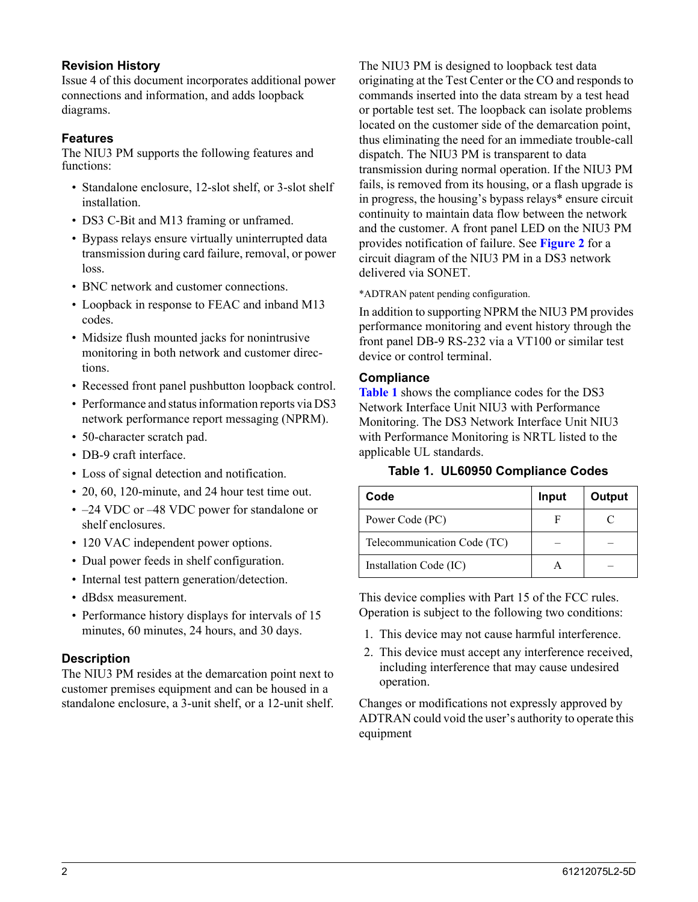## **Revision History**

Issue 4 of this document incorporates additional power connections and information, and adds loopback diagrams.

## **Features**

The NIU3 PM supports the following features and functions:

- Standalone enclosure, 12-slot shelf, or 3-slot shelf installation.
- DS3 C-Bit and M13 framing or unframed.
- Bypass relays ensure virtually uninterrupted data transmission during card failure, removal, or power loss.
- BNC network and customer connections.
- Loopback in response to FEAC and inband M13 codes.
- Midsize flush mounted jacks for nonintrusive monitoring in both network and customer directions.
- Recessed front panel pushbutton loopback control.
- Performance and status information reports via DS3 network performance report messaging (NPRM).
- 50-character scratch pad.
- DB-9 craft interface.
- Loss of signal detection and notification.
- $\cdot$  20, 60, 120-minute, and 24 hour test time out.
- $\cdot$  -24 VDC or -48 VDC power for standalone or shelf enclosures.
- 120 VAC independent power options.
- Dual power feeds in shelf configuration.
- Internal test pattern generation/detection.
- dBdsx measurement.
- Performance history displays for intervals of 15 minutes, 60 minutes, 24 hours, and 30 days.

## **Description**

The NIU3 PM resides at the demarcation point next to customer premises equipment and can be housed in a standalone enclosure, a 3-unit shelf, or a 12-unit shelf. The NIU3 PM is designed to loopback test data originating at the Test Center or the CO and responds to commands inserted into the data stream by a test head or portable test set. The loopback can isolate problems located on the customer side of the demarcation point, thus eliminating the need for an immediate trouble-call dispatch. The NIU3 PM is transparent to data transmission during normal operation. If the NIU3 PM fails, is removed from its housing, or a flash upgrade is in progress, the housing's bypass relays<sup>\*</sup> ensure circuit continuity to maintain data flow between the network and the customer. A front panel LED on the NIU3 PM provides notification of failure. See **[Figure 2](#page-2-1)** for a circuit diagram of the NIU3 PM in a DS3 network delivered via SONET.

\*ADTRAN patent pending configuration.

In addition to supporting NPRM the NIU3 PM provides performance monitoring and event history through the front panel DB-9 RS-232 via a VT100 or similar test device or control terminal.

#### **Compliance**

**[Table 1](#page-1-0)** shows the compliance codes for the DS3 Network Interface Unit NIU3 with Performance Monitoring. The DS3 Network Interface Unit NIU3 with Performance Monitoring is NRTL listed to the applicable UL standards.

## **Table 1. UL60950 Compliance Codes**

<span id="page-1-0"></span>

| Code                        | Input | Output |
|-----------------------------|-------|--------|
| Power Code (PC)             |       |        |
| Telecommunication Code (TC) |       |        |
| Installation Code (IC)      |       |        |

This device complies with Part 15 of the FCC rules. Operation is subject to the following two conditions:

- 1. This device may not cause harmful interference.
- 2. This device must accept any interference received, including interference that may cause undesired operation.

Changes or modifications not expressly approved by ADTRAN could void the user's authority to operate this equipment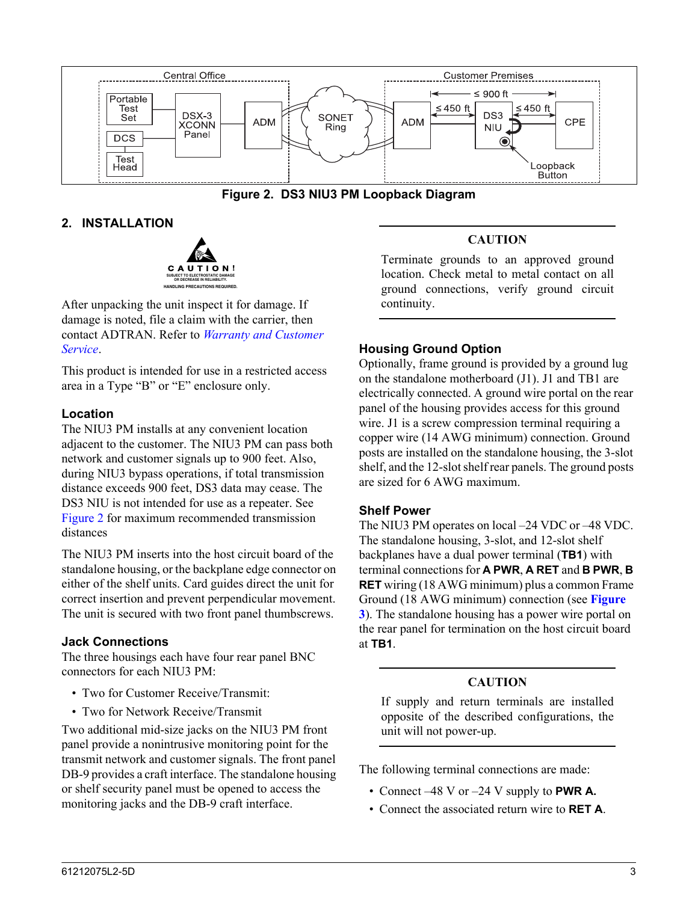

**Figure 2. DS3 NIU3 PM Loopback Diagram**

## <span id="page-2-1"></span><span id="page-2-0"></span>**2. INSTALLATION**



After unpacking the unit inspect it for damage. If damage is noted, file a claim with the carrier, then contact ADTRAN. Refer to *[Warranty and Customer](#page-21-2)  [Service](#page-21-2)*.

This product is intended for use in a restricted access area in a Type "B" or "E" enclosure only.

## **Location**

The NIU3 PM installs at any convenient location adjacent to the customer. The NIU3 PM can pass both network and customer signals up to 900 feet. Also, during NIU3 bypass operations, if total transmission distance exceeds 900 feet, DS3 data may cease. The DS3 NIU is not intended for use as a repeater. See [Figure 2](#page-2-1) for maximum recommended transmission distances

The NIU3 PM inserts into the host circuit board of the standalone housing, or the backplane edge connector on either of the shelf units. Card guides direct the unit for correct insertion and prevent perpendicular movement. The unit is secured with two front panel thumbscrews.

## **Jack Connections**

The three housings each have four rear panel BNC connectors for each NIU3 PM:

- Two for Customer Receive/Transmit:
- Two for Network Receive/Transmit

Two additional mid-size jacks on the NIU3 PM front panel provide a nonintrusive monitoring point for the transmit network and customer signals. The front panel DB-9 provides a craft interface. The standalone housing or shelf security panel must be opened to access the monitoring jacks and the DB-9 craft interface.

# **CAUTION**

Terminate grounds to an approved ground location. Check metal to metal contact on all ground connections, verify ground circuit continuity.

# **Housing Ground Option**

Optionally, frame ground is provided by a ground lug on the standalone motherboard (J1). J1 and TB1 are electrically connected. A ground wire portal on the rear panel of the housing provides access for this ground wire. J1 is a screw compression terminal requiring a copper wire (14 AWG minimum) connection. Ground posts are installed on the standalone housing, the 3-slot shelf, and the 12-slot shelf rear panels. The ground posts are sized for 6 AWG maximum.

## **Shelf Power**

The NIU3 PM operates on local  $-24$  VDC or  $-48$  VDC. The standalone housing, 3-slot, and 12-slot shelf backplanes have a dual power terminal (**TB1**) with terminal connections for **A PWR**, **A RET** and **B PWR**, **B RET** wiring (18 AWG minimum) plus a common Frame Ground (18 AWG minimum) connection (see **[Figure](#page-3-0)  [3](#page-3-0)**). The standalone housing has a power wire portal on the rear panel for termination on the host circuit board at **TB1**.

## **CAUTION**

If supply and return terminals are installed opposite of the described configurations, the unit will not power-up.

The following terminal connections are made:

- Connect  $-48$  V or  $-24$  V supply to **PWR A.**
- ï Connect the associated return wire to **RET A**.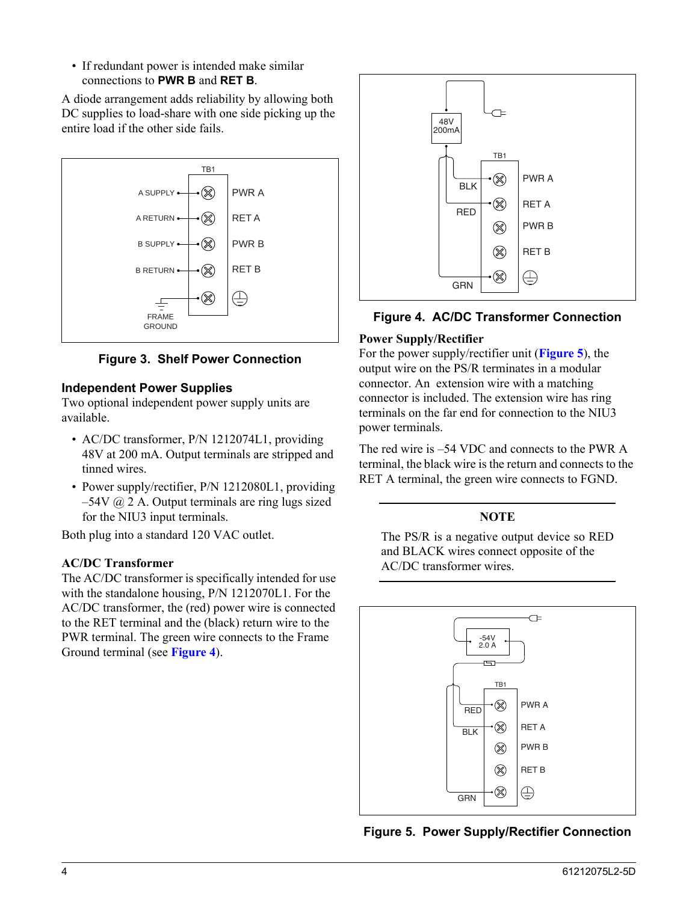• If redundant power is intended make similar connections to **PWR B** and **RET B**.

A diode arrangement adds reliability by allowing both DC supplies to load-share with one side picking up the entire load if the other side fails.



**Figure 3. Shelf Power Connection**

## <span id="page-3-0"></span>**Independent Power Supplies**

Two optional independent power supply units are available.

- AC/DC transformer, P/N 1212074L1, providing 48V at 200 mA. Output terminals are stripped and tinned wires.
- Power supply/rectifier, P/N 1212080L1, providing  $-54V$  @ 2 A. Output terminals are ring lugs sized for the NIU3 input terminals.

Both plug into a standard 120 VAC outlet.

## **AC/DC Transformer**

The AC/DC transformer is specifically intended for use with the standalone housing, P/N 1212070L1. For the AC/DC transformer, the (red) power wire is connected to the RET terminal and the (black) return wire to the PWR terminal. The green wire connects to the Frame Ground terminal (see **[Figure 4](#page-3-1)**).



<span id="page-3-1"></span>**Figure 4. AC/DC Transformer Connection**

#### **Power Supply/Rectifier**

For the power supply/rectifier unit (**[Figure 5](#page-3-2)**), the output wire on the PS/R terminates in a modular connector. An extension wire with a matching connector is included. The extension wire has ring terminals on the far end for connection to the NIU3 power terminals.

The red wire is  $-54$  VDC and connects to the PWR A terminal, the black wire is the return and connects to the RET A terminal, the green wire connects to FGND.

# **NOTE**

The PS/R is a negative output device so RED and BLACK wires connect opposite of the AC/DC transformer wires.



<span id="page-3-2"></span>**Figure 5. Power Supply/Rectifier Connection**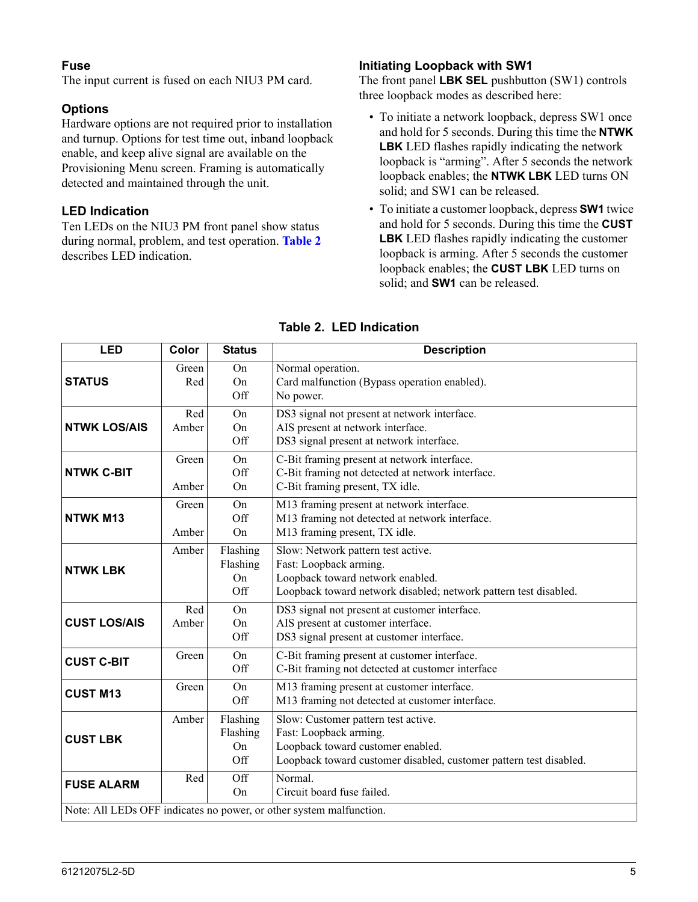## **Fuse**

The input current is fused on each NIU3 PM card.

## **Options**

Hardware options are not required prior to installation and turnup. Options for test time out, inband loopback enable, and keep alive signal are available on the Provisioning Menu screen. Framing is automatically detected and maintained through the unit.

## **LED Indication**

Ten LEDs on the NIU3 PM front panel show status during normal, problem, and test operation. **[Table 2](#page-4-0)** describes LED indication.

# **Initiating Loopback with SW1**

The front panel **LBK SEL** pushbutton (SW1) controls three loopback modes as described here:

- To initiate a network loopback, depress SW1 once and hold for 5 seconds. During this time the **NTWK LBK** LED flashes rapidly indicating the network loopback is "arming". After 5 seconds the network loopback enables; the **NTWK LBK** LED turns ON solid; and SW1 can be released.
- To initiate a customer loopback, depress **SW1** twice and hold for 5 seconds. During this time the **CUST LBK** LED flashes rapidly indicating the customer loopback is arming. After 5 seconds the customer loopback enables; the **CUST LBK** LED turns on solid; and **SW1** can be released.

<span id="page-4-0"></span>

| <b>LED</b>          | Color          | <b>Status</b>                     | <b>Description</b>                                                                                                                                                       |
|---------------------|----------------|-----------------------------------|--------------------------------------------------------------------------------------------------------------------------------------------------------------------------|
| <b>STATUS</b>       | Green<br>Red   | On<br>On<br>Off                   | Normal operation.<br>Card malfunction (Bypass operation enabled).<br>No power.                                                                                           |
| <b>NTWK LOS/AIS</b> | Red<br>Amber   | On<br>On<br>Off                   | DS3 signal not present at network interface.<br>AIS present at network interface.<br>DS3 signal present at network interface.                                            |
| <b>NTWK C-BIT</b>   | Green<br>Amber | On<br>Off<br>On                   | C-Bit framing present at network interface.<br>C-Bit framing not detected at network interface.<br>C-Bit framing present, TX idle.                                       |
| <b>NTWK M13</b>     | Green<br>Amber | On<br>Off<br>On                   | M13 framing present at network interface.<br>M13 framing not detected at network interface.<br>M13 framing present, TX idle.                                             |
| <b>NTWK LBK</b>     | Amber          | Flashing<br>Flashing<br>On<br>Off | Slow: Network pattern test active.<br>Fast: Loopback arming.<br>Loopback toward network enabled.<br>Loopback toward network disabled; network pattern test disabled.     |
| <b>CUST LOS/AIS</b> | Red<br>Amber   | On<br>On<br>Off                   | DS3 signal not present at customer interface.<br>AIS present at customer interface.<br>DS3 signal present at customer interface.                                         |
| <b>CUST C-BIT</b>   | Green          | On<br>Off                         | C-Bit framing present at customer interface.<br>C-Bit framing not detected at customer interface                                                                         |
| <b>CUST M13</b>     | Green          | On<br>Off                         | M13 framing present at customer interface.<br>M13 framing not detected at customer interface.                                                                            |
| <b>CUST LBK</b>     | Amber          | Flashing<br>Flashing<br>On<br>Off | Slow: Customer pattern test active.<br>Fast: Loopback arming.<br>Loopback toward customer enabled.<br>Loopback toward customer disabled, customer pattern test disabled. |
| <b>FUSE ALARM</b>   | Red            | Off<br>On                         | Normal.<br>Circuit board fuse failed.                                                                                                                                    |
|                     |                |                                   | Note: All LEDs OFF indicates no power, or other system malfunction.                                                                                                      |

## **Table 2. LED Indication**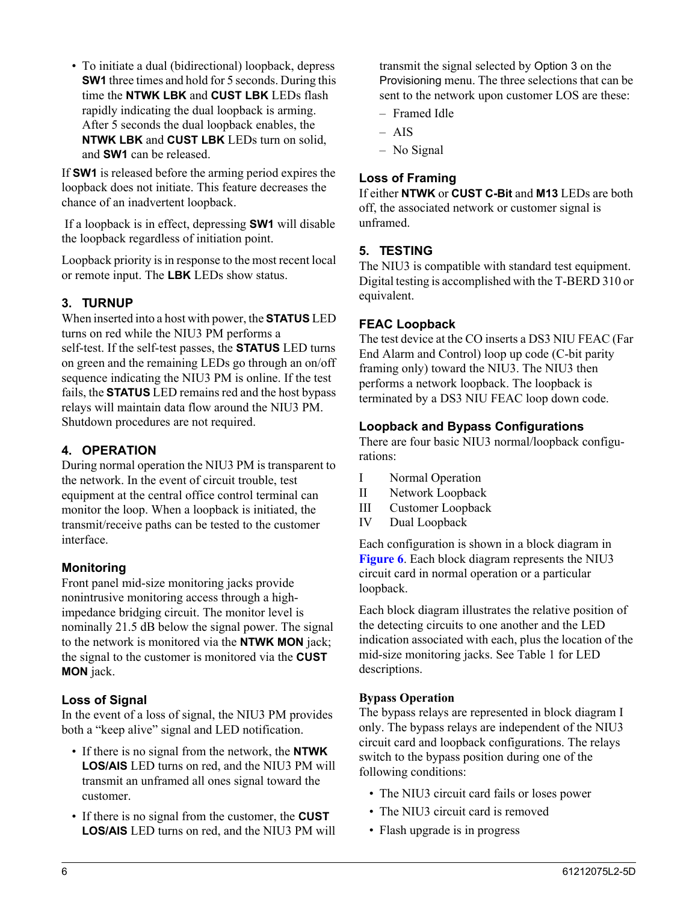• To initiate a dual (bidirectional) loopback, depress **SW1** three times and hold for 5 seconds. During this time the **NTWK LBK** and **CUST LBK** LEDs flash rapidly indicating the dual loopback is arming. After 5 seconds the dual loopback enables, the **NTWK LBK** and **CUST LBK** LEDs turn on solid, and **SW1** can be released.

If **SW1** is released before the arming period expires the loopback does not initiate. This feature decreases the chance of an inadvertent loopback.

 If a loopback is in effect, depressing **SW1** will disable the loopback regardless of initiation point.

Loopback priority is in response to the most recent local or remote input. The **LBK** LEDs show status.

# <span id="page-5-0"></span>**3. TURNUP**

When inserted into a host with power, the **STATUS** LED turns on red while the NIU3 PM performs a self-test. If the self-test passes, the **STATUS** LED turns on green and the remaining LEDs go through an on/off sequence indicating the NIU3 PM is online. If the test fails, the **STATUS** LED remains red and the host bypass relays will maintain data flow around the NIU3 PM. Shutdown procedures are not required.

# <span id="page-5-1"></span>**4. OPERATION**

During normal operation the NIU3 PM is transparent to the network. In the event of circuit trouble, test equipment at the central office control terminal can monitor the loop. When a loopback is initiated, the transmit/receive paths can be tested to the customer interface.

## **Monitoring**

Front panel mid-size monitoring jacks provide nonintrusive monitoring access through a highimpedance bridging circuit. The monitor level is nominally 21.5 dB below the signal power. The signal to the network is monitored via the **NTWK MON** jack; the signal to the customer is monitored via the **CUST MON** jack.

# **Loss of Signal**

In the event of a loss of signal, the NIU3 PM provides both a "keep alive" signal and LED notification.

- If there is no signal from the network, the **NTWK LOS/AIS** LED turns on red, and the NIU3 PM will transmit an unframed all ones signal toward the customer.
- If there is no signal from the customer, the **CUST LOS/AIS** LED turns on red, and the NIU3 PM will

transmit the signal selected by Option 3 on the Provisioning menu. The three selections that can be sent to the network upon customer LOS are these:

- Framed Idle
- $-$  AIS
- $-$  No Signal

# **Loss of Framing**

If either **NTWK** or **CUST C-Bit** and **M13** LEDs are both off, the associated network or customer signal is unframed.

## <span id="page-5-2"></span>**5. TESTING**

The NIU3 is compatible with standard test equipment. Digital testing is accomplished with the T-BERD 310 or equivalent.

## **FEAC Loopback**

The test device at the CO inserts a DS3 NIU FEAC (Far End Alarm and Control) loop up code (C-bit parity framing only) toward the NIU3. The NIU3 then performs a network loopback. The loopback is terminated by a DS3 NIU FEAC loop down code.

## **Loopback and Bypass Configurations**

There are four basic NIU3 normal/loopback configurations:

- I Normal Operation
- II Network Loopback
- III Customer Loopback
- IV Dual Loopback

Each configuration is shown in a block diagram in **[Figure 6](#page-6-0)**. Each block diagram represents the NIU3 circuit card in normal operation or a particular loopback.

Each block diagram illustrates the relative position of the detecting circuits to one another and the LED indication associated with each, plus the location of the mid-size monitoring jacks. See Table 1 for LED descriptions.

## **Bypass Operation**

The bypass relays are represented in block diagram I only. The bypass relays are independent of the NIU3 circuit card and loopback configurations. The relays switch to the bypass position during one of the following conditions:

- The NIU3 circuit card fails or loses power
- The NIU3 circuit card is removed
- Flash upgrade is in progress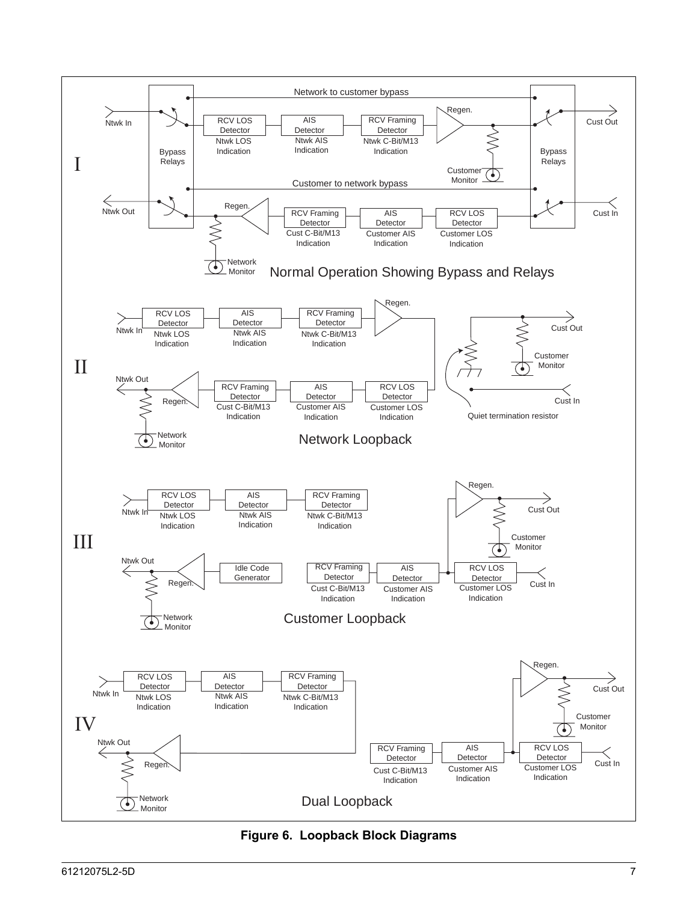

<span id="page-6-0"></span>**Figure 6. Loopback Block Diagrams**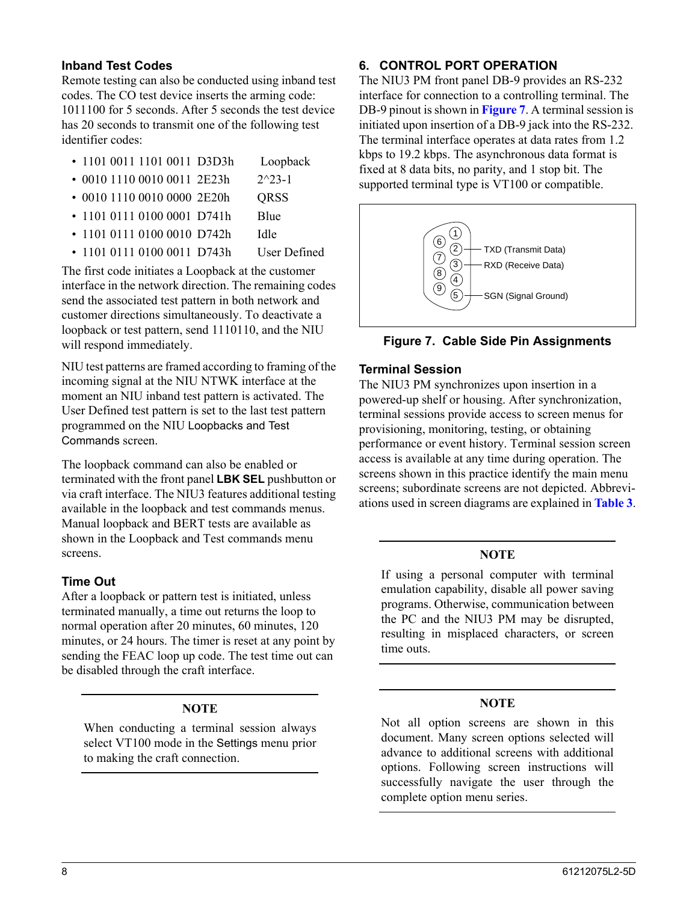## **Inband Test Codes**

Remote testing can also be conducted using inband test codes. The CO test device inserts the arming code: 1011100 for 5 seconds. After 5 seconds the test device has 20 seconds to transmit one of the following test identifier codes:

- 1101 0011 1101 0011 D3D3h Loopback
- $\cdot$  0010 1110 0010 0011 2E23h 2^23-1
- 0010 1110 0010 0000 2E20h ORSS
- 1101 0111 0100 0001 D741h Blue
- 1101 0111 0100 0010 D742h Idle
- 1101 0111 0100 0011 D743h User Defined

The first code initiates a Loopback at the customer interface in the network direction. The remaining codes send the associated test pattern in both network and customer directions simultaneously. To deactivate a loopback or test pattern, send 1110110, and the NIU will respond immediately.

NIU test patterns are framed according to framing of the incoming signal at the NIU NTWK interface at the moment an NIU inband test pattern is activated. The User Defined test pattern is set to the last test pattern programmed on the NIU Loopbacks and Test Commands screen.

The loopback command can also be enabled or terminated with the front panel **LBK SEL** pushbutton or via craft interface. The NIU3 features additional testing available in the loopback and test commands menus. Manual loopback and BERT tests are available as shown in the Loopback and Test commands menu screens.

## **Time Out**

After a loopback or pattern test is initiated, unless terminated manually, a time out returns the loop to normal operation after 20 minutes, 60 minutes, 120 minutes, or 24 hours. The timer is reset at any point by sending the FEAC loop up code. The test time out can be disabled through the craft interface.

## **NOTE**

When conducting a terminal session always select VT100 mode in the Settings menu prior to making the craft connection.

# <span id="page-7-0"></span>**6. CONTROL PORT OPERATION**

The NIU3 PM front panel DB-9 provides an RS-232 interface for connection to a controlling terminal. The DB-9 pinout is shown in **[Figure 7](#page-7-1)**. A terminal session is initiated upon insertion of a DB-9 jack into the RS-232. The terminal interface operates at data rates from 1.2 kbps to 19.2 kbps. The asynchronous data format is fixed at 8 data bits, no parity, and 1 stop bit. The supported terminal type is VT100 or compatible.



<span id="page-7-1"></span>**Figure 7. Cable Side Pin Assignments**

#### **Terminal Session**

The NIU3 PM synchronizes upon insertion in a powered-up shelf or housing. After synchronization, terminal sessions provide access to screen menus for provisioning, monitoring, testing, or obtaining performance or event history. Terminal session screen access is available at any time during operation. The screens shown in this practice identify the main menu screens; subordinate screens are not depicted. Abbreviations used in screen diagrams are explained in **[Table 3](#page-8-0)**.

## **NOTE**

If using a personal computer with terminal emulation capability, disable all power saving programs. Otherwise, communication between the PC and the NIU3 PM may be disrupted, resulting in misplaced characters, or screen time outs.

#### **NOTE**

Not all option screens are shown in this document. Many screen options selected will advance to additional screens with additional options. Following screen instructions will successfully navigate the user through the complete option menu series.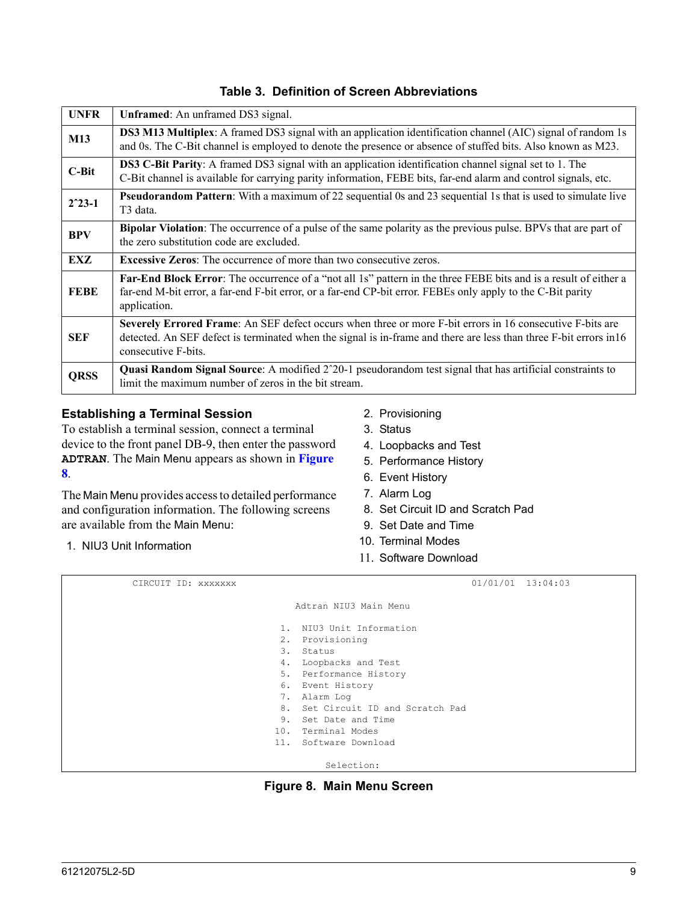|  |  |  | <b>Table 3. Definition of Screen Abbreviations</b> |
|--|--|--|----------------------------------------------------|
|--|--|--|----------------------------------------------------|

<span id="page-8-0"></span>

| <b>UNFR</b>      | Unframed: An unframed DS3 signal.                                                                                                                                                                                                                       |
|------------------|---------------------------------------------------------------------------------------------------------------------------------------------------------------------------------------------------------------------------------------------------------|
| M13              | <b>DS3 M13 Multiplex</b> : A framed DS3 signal with an application identification channel (AIC) signal of random 1s<br>and 0s. The C-Bit channel is employed to denote the presence or absence of stuffed bits. Also known as M23.                      |
| C-Bit            | <b>DS3 C-Bit Parity:</b> A framed DS3 signal with an application identification channel signal set to 1. The<br>C-Bit channel is available for carrying parity information, FEBE bits, far-end alarm and control signals, etc.                          |
| $2^{\prime}23-1$ | Pseudorandom Pattern: With a maximum of 22 sequential 0s and 23 sequential 1s that is used to simulate live<br>T <sub>3</sub> data.                                                                                                                     |
| <b>BPV</b>       | <b>Bipolar Violation:</b> The occurrence of a pulse of the same polarity as the previous pulse. BPVs that are part of<br>the zero substitution code are excluded.                                                                                       |
| EXZ              | <b>Excessive Zeros:</b> The occurrence of more than two consecutive zeros.                                                                                                                                                                              |
| FEBE             | <b>Far-End Block Error</b> : The occurrence of a "not all 1s" pattern in the three FEBE bits and is a result of either a<br>far-end M-bit error, a far-end F-bit error, or a far-end CP-bit error. FEBEs only apply to the C-Bit parity<br>application. |
| <b>SEF</b>       | Severely Errored Frame: An SEF defect occurs when three or more F-bit errors in 16 consecutive F-bits are<br>detected. An SEF defect is terminated when the signal is in-frame and there are less than three F-bit errors in16<br>consecutive F-bits.   |
| <b>QRSS</b>      | Quasi Random Signal Source: A modified $2^{\circ}20$ -1 pseudorandom test signal that has artificial constraints to<br>limit the maximum number of zeros in the bit stream.                                                                             |

## **Establishing a Terminal Session**

1. NIU3 Unit Information

To establish a terminal session, connect a terminal device to the front panel DB-9, then enter the password **ADTRAN**. The Main Menu appears as shown in **[Figure](#page-8-1)  [8](#page-8-1)**.

The Main Menu provides access to detailed performance and configuration information. The following screens are available from the Main Menu:

- 2. Provisioning
- 3. Status
- 4. Loopbacks and Test
- 5. Performance History
- 6. Event History
- 7. Alarm Log
- 8. Set Circuit ID and Scratch Pad
- 9. Set Date and Time
- 10. Terminal Modes
- 11. Software Download

<span id="page-8-1"></span>CIRCUIT ID: xxxxxxx 01/01/01 13:04:03 Adtran NIU3 Main Menu 1. NIU3 Unit Information 2. Provisioning 3. Status 4. Loopbacks and Test 5. Performance History 6. Event History 7. Alarm Log 8. Set Circuit ID and Scratch Pad 9. Set Date and Time 10. Terminal Modes 11. Software Download Selection:

**Figure 8. Main Menu Screen**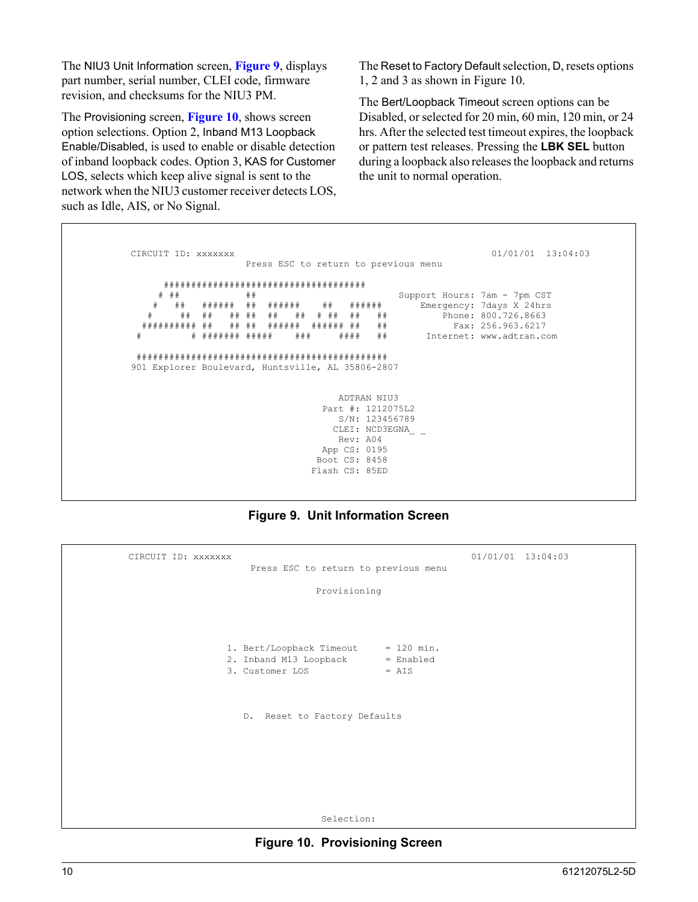The NIU3 Unit Information screen, **[Figure 9](#page-9-0)**, displays part number, serial number, CLEI code, firmware revision, and checksums for the NIU3 PM.

The Provisioning screen, **[Figure 10](#page-9-1)**, shows screen option selections. Option 2, Inband M13 Loopback Enable/Disabled, is used to enable or disable detection of inband loopback codes. Option 3, KAS for Customer LOS, selects which keep alive signal is sent to the network when the NIU3 customer receiver detects LOS, such as Idle, AIS, or No Signal.

The Reset to Factory Default selection, D, resets options 1, 2 and 3 as shown in Figure 10.

The Bert/Loopback Timeout screen options can be Disabled, or selected for 20 min, 60 min, 120 min, or 24 hrs. After the selected test timeout expires, the loopback or pattern test releases. Pressing the **LBK SEL** button during a loopback also releases the loopback and returns the unit to normal operation.

CIRCUIT ID: xxxxxxx 01/01/01 13:04:03 Press ESC to return to previous menu ##################################### Support Hours: 7am - 7pm CST # ## ###### ## ###### ## ###### Emergency: 7days X 24hrs # ## ## ## ## ## ## # ## ## ## Phone: 800.726.8663 ########## ## ## ## ###### ###### ## ## Fax: 256.963.6217 # # ####### ##### ### #### ## Internet: www.adtran.com ############################################## 901 Explorer Boulevard, Huntsville, AL 35806-2807 ADTRAN NIU3 Part #: 1212075L2 S/N: 123456789 CLEI: NCD3EGNA Rev: A04 App CS: 0195 Boot CS: 8458 Flash CS: 85ED

**Figure 9. Unit Information Screen**

```
CIRCUIT ID: xxxxxxx 01/01/01 13:04:03
     Press ESC to return to previous menu
              Provisioning
 1. Bert/Loopback Timeout = 120 min.
 2. Inband M13 Loopback = Enabled
 3. Customer LOS = AIS
     D. Reset to Factory Defaults
               Selection:
```
<span id="page-9-1"></span>**Figure 10. Provisioning Screen**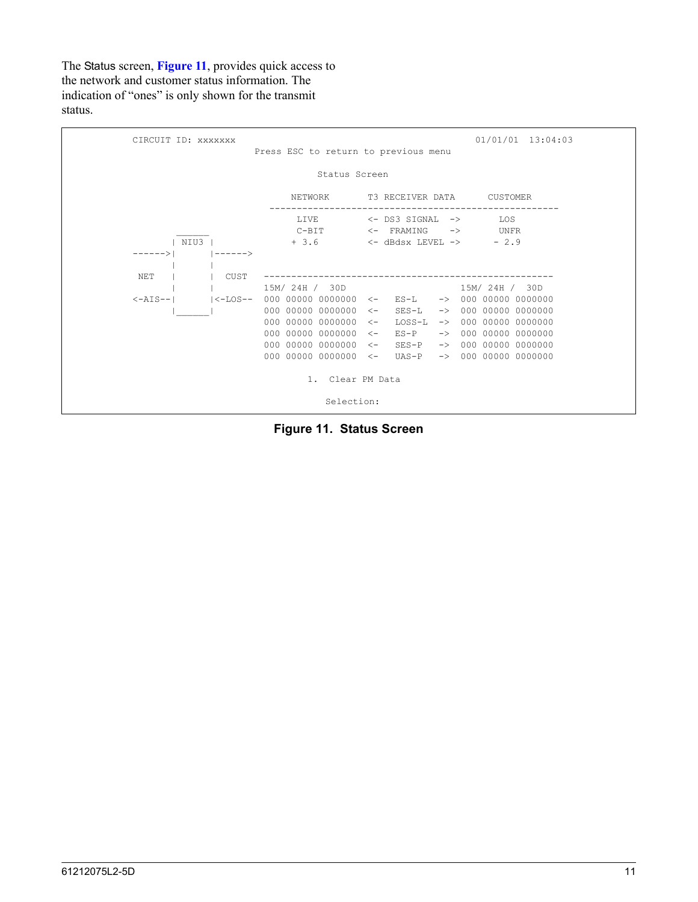The Status screen, **[Figure 11](#page-10-0)**, provides quick access to the network and customer status information. The indication of "ones" is only shown for the transmit status.



<span id="page-10-0"></span>**Figure 11. Status Screen**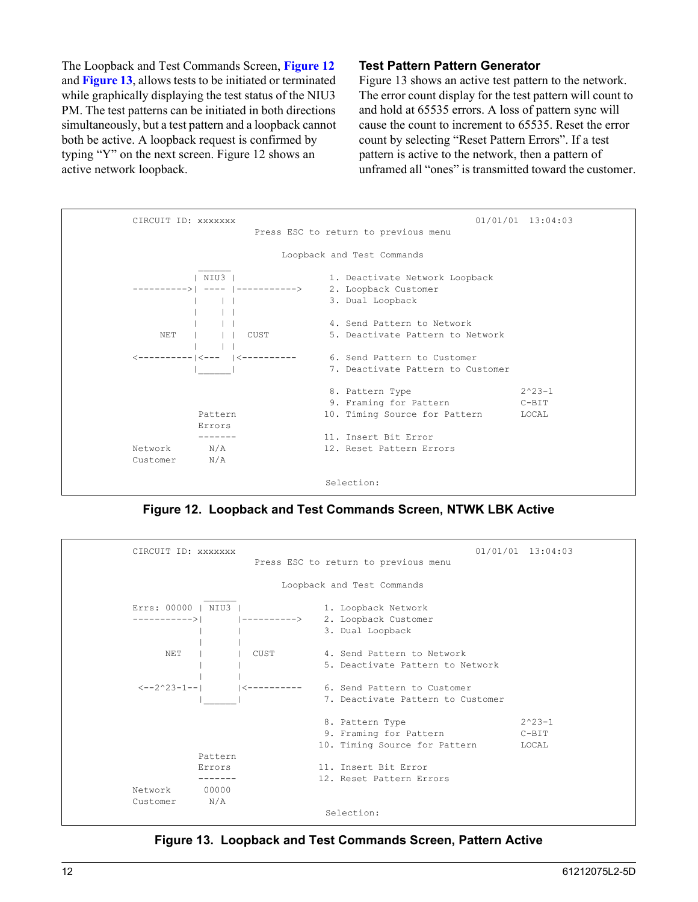The Loopback and Test Commands Screen, **[Figure 12](#page-11-0)** and **[Figure 13](#page-11-1)**, allows tests to be initiated or terminated while graphically displaying the test status of the NIU3 PM. The test patterns can be initiated in both directions simultaneously, but a test pattern and a loopback cannot both be active. A loopback request is confirmed by typing  $Y'$  on the next screen. Figure 12 shows an active network loopback.

#### **Test Pattern Pattern Generator**

Figure 13 shows an active test pattern to the network. The error count display for the test pattern will count to and hold at 65535 errors. A loss of pattern sync will cause the count to increment to 65535. Reset the error count by selecting "Reset Pattern Errors". If a test pattern is active to the network, then a pattern of unframed all "ones" is transmitted toward the customer.

| CIRCUIT ID: XXXXXXX | $01/01/01$ 13:04:03                    |
|---------------------|----------------------------------------|
|                     | Press ESC to return to previous menu   |
|                     | Loopback and Test Commands             |
| NIU3                | 1. Deactivate Network Loopback         |
| $---$               | ----------> 2. Loopback Customer       |
|                     | 3. Dual Loopback                       |
|                     |                                        |
|                     | 4. Send Pattern to Network             |
| <b>NET</b><br>CUST  | 5. Deactivate Pattern to Network       |
|                     |                                        |
|                     | 6. Send Pattern to Customer            |
|                     | 7. Deactivate Pattern to Customer      |
|                     | $2^223 - 1$<br>8. Pattern Type         |
|                     | 9. Framing for Pattern<br>$C-BIT$      |
| Pattern             | 10. Timing Source for Pattern<br>LOCAL |
| Errors              |                                        |
|                     | 11. Insert Bit Error                   |
| N/A<br>Network      | 12. Reset Pattern Errors               |
| N/A<br>Customer     |                                        |
|                     |                                        |
|                     | Selection:                             |

**Figure 12. Loopback and Test Commands Screen, NTWK LBK Active**

<span id="page-11-0"></span>

| CIRCUIT ID: XXXXXXX |         |                 |                                      | $01/01/01$ 13:04:03 |
|---------------------|---------|-----------------|--------------------------------------|---------------------|
|                     |         |                 | Press ESC to return to previous menu |                     |
|                     |         |                 |                                      |                     |
|                     |         |                 | Loopback and Test Commands           |                     |
|                     |         |                 |                                      |                     |
| Errs: 00000   NIU3  |         |                 | 1. Loopback Network                  |                     |
| ----------->        |         | ---------->     | 2. Loopback Customer                 |                     |
|                     |         |                 | 3. Dual Loopback                     |                     |
|                     |         |                 |                                      |                     |
| NET                 |         |                 | CUST 4. Send Pattern to Network      |                     |
|                     |         |                 | 5. Deactivate Pattern to Network     |                     |
|                     |         |                 |                                      |                     |
| $<-2^223-1--1$      |         | $ <$ ---------- | 6. Send Pattern to Customer          |                     |
|                     |         |                 | 7. Deactivate Pattern to Customer    |                     |
|                     |         |                 |                                      |                     |
|                     |         |                 | 8. Pattern Type                      | $2^223 - 1$         |
|                     |         |                 | 9. Framing for Pattern               | $C-BIT$             |
|                     |         |                 | 10. Timing Source for Pattern        | LOCAL               |
|                     | Pattern |                 |                                      |                     |
|                     | Errors  |                 | 11. Insert Bit Error                 |                     |
|                     |         |                 | 12. Reset Pattern Errors             |                     |
| Network             | 00000   |                 |                                      |                     |
| Customer            | N/A     |                 |                                      |                     |
|                     |         |                 | Selection:                           |                     |
|                     |         |                 |                                      |                     |

<span id="page-11-1"></span>**Figure 13. Loopback and Test Commands Screen, Pattern Active**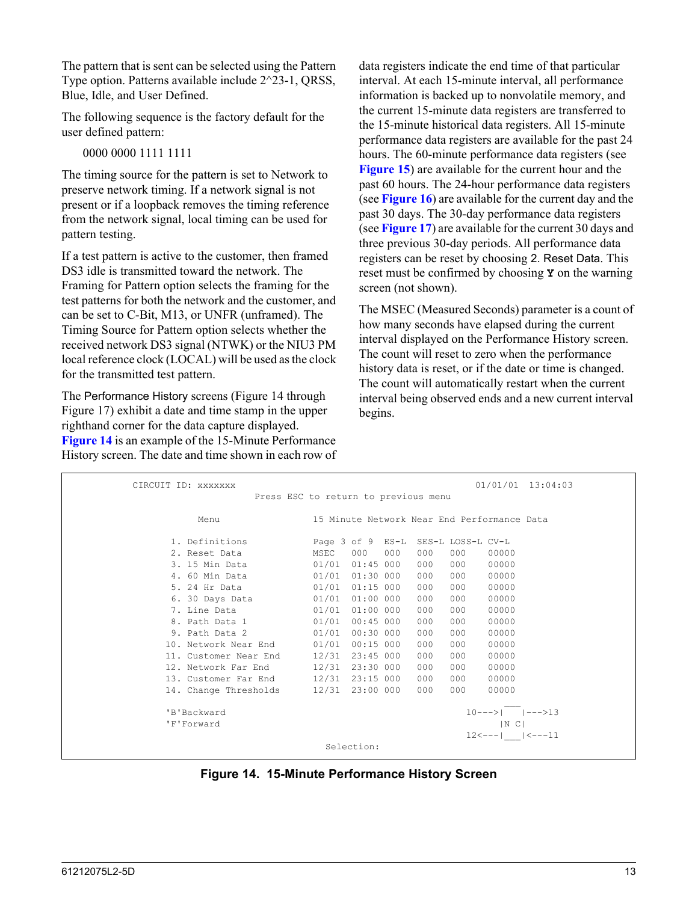The pattern that is sent can be selected using the Pattern Type option. Patterns available include 2^23-1, QRSS, Blue, Idle, and User Defined.

The following sequence is the factory default for the user defined pattern:

0000 0000 1111 1111

The timing source for the pattern is set to Network to preserve network timing. If a network signal is not present or if a loopback removes the timing reference from the network signal, local timing can be used for pattern testing.

If a test pattern is active to the customer, then framed DS3 idle is transmitted toward the network. The Framing for Pattern option selects the framing for the test patterns for both the network and the customer, and can be set to C-Bit, M13, or UNFR (unframed). The Timing Source for Pattern option selects whether the received network DS3 signal (NTWK) or the NIU3 PM local reference clock (LOCAL) will be used as the clock for the transmitted test pattern.

The Performance History screens (Figure 14 through Figure 17) exhibit a date and time stamp in the upper righthand corner for the data capture displayed. **[Figure 14](#page-12-0)** is an example of the 15-Minute Performance History screen. The date and time shown in each row of data registers indicate the end time of that particular interval. At each 15-minute interval, all performance information is backed up to nonvolatile memory, and the current 15-minute data registers are transferred to the 15-minute historical data registers. All 15-minute performance data registers are available for the past 24 hours. The 60-minute performance data registers (see **[Figure 15](#page-13-0)**) are available for the current hour and the past 60 hours. The 24-hour performance data registers (see **[Figure 16](#page-13-1)**) are available for the current day and the past 30 days. The 30-day performance data registers (see **[Figure 17](#page-14-0)**) are available for the current 30 days and three previous 30-day periods. All performance data registers can be reset by choosing 2. Reset Data. This reset must be confirmed by choosing **Y** on the warning screen (not shown).

The MSEC (Measured Seconds) parameter is a count of how many seconds have elapsed during the current interval displayed on the Performance History screen. The count will reset to zero when the performance history data is reset, or if the date or time is changed. The count will automatically restart when the current interval being observed ends and a new current interval begins.

| CIRCUIT ID: XXXXXXX                   |                                             |     |     |     |                     | $01/01/01$ 13:04:03 |
|---------------------------------------|---------------------------------------------|-----|-----|-----|---------------------|---------------------|
|                                       | Press ESC to return to previous menu        |     |     |     |                     |                     |
| Menu                                  | 15 Minute Network Near End Performance Data |     |     |     |                     |                     |
| 1. Definitions                        | Page 3 of 9 ES-L SES-L LOSS-L CV-L          |     |     |     |                     |                     |
| 2. Reset Data                         | MSEC<br>000                                 | 000 | 000 | 000 | 00000               |                     |
| 3. 15 Min Data                        | 01/01 01:45 000                             |     | 000 | 000 | 00000               |                     |
| 4. 60 Min Data                        | $01/01$ $01:30$ 000                         |     | 000 | 000 | 00000               |                     |
| 5. 24 Hr Data                         | 01/01 01:15 000                             |     | 000 | 000 | 00000               |                     |
|                                       |                                             |     | 000 | 000 | 00000               |                     |
| 7. Line Data                          | 01/01 01:00 000                             |     | 000 | 000 | 00000               |                     |
| 8. Path Data 1 01/01 00:45 000        |                                             |     | 000 | 000 | 00000               |                     |
| 9. Path Data 2                        | $01/01$ 00:30 000                           |     | 000 | 000 | 00000               |                     |
| 10. Network Near End 01/01 00:15 000  |                                             |     | 000 | 000 | 00000               |                     |
| 11. Customer Near End                 | 12/31 23:45 000                             |     | 000 | 000 | 00000               |                     |
| 12. Network Far End 12/31 23:30 000   |                                             |     | 000 | 000 | 00000               |                     |
| 13. Customer Far End 12/31 23:15 000  |                                             |     | 000 | 000 | 00000               |                     |
| 14. Change Thresholds 12/31 23:00 000 |                                             |     | 000 | 000 | 00000               |                     |
| 'B'Backward                           |                                             |     |     |     | $10--->1$ $1--->13$ |                     |
| 'F'Forward                            |                                             |     |     |     | N C                 |                     |
|                                       |                                             |     |     |     | $12<---$   $<-11$   |                     |
|                                       | Selection:                                  |     |     |     |                     |                     |

<span id="page-12-0"></span>**Figure 14. 15-Minute Performance History Screen**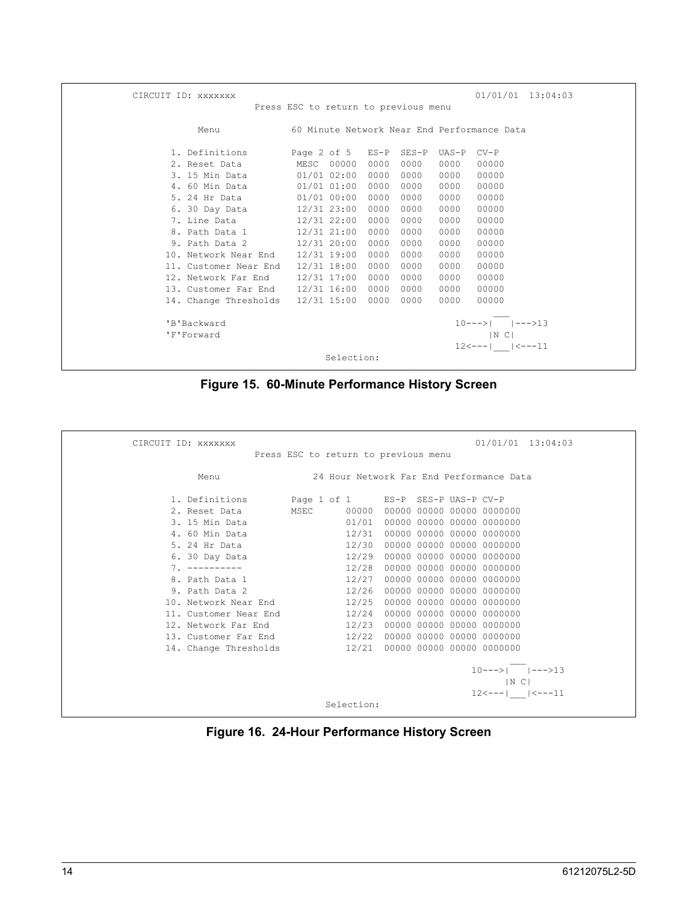| CIRCUIT ID: XXXXXXX               |                                             |      |      |         | $01/01/01$ 13:04:03 |  |
|-----------------------------------|---------------------------------------------|------|------|---------|---------------------|--|
|                                   | Press ESC to return to previous menu        |      |      |         |                     |  |
| Menu                              | 60 Minute Network Near End Performance Data |      |      |         |                     |  |
| 1. Definitions                    | Page 2 of 5 ES-P SES-P                      |      |      | $UAS-P$ | $CV-P$              |  |
| 2. Reset Data                     | MESC 00000                                  | 0000 | 0000 | 0000    | 00000               |  |
| 3. 15 Min Data 01/01 02:00        |                                             | 0000 | 0000 | 0000    | 00000               |  |
| 4. 60 Min Data 01/01 01:00        |                                             | 0000 | 0000 | 0000    | 00000               |  |
| 5. 24 Hr Data 01/01 00:00         |                                             | 0000 | 0000 | 0000    | 00000               |  |
| 6. 30 Day Data 12/31 23:00        |                                             | 0000 | 0000 | 0000    | 00000               |  |
| 7. Line Data 12/31 22:00          |                                             | 0000 | 0000 | 0000    | 00000               |  |
| 8. Path Data 1 12/31 21:00        |                                             | 0000 | 0000 | 0000    | 00000               |  |
| 9. Path Data 2 12/31 20:00        |                                             | 0000 | 0000 | 0000    | 00000               |  |
| 10. Network Near End              | 12/31 19:00                                 | 0000 | 0000 | 0000    | 00000               |  |
| 11. Customer Near End 12/31 18:00 |                                             | 0000 | 0000 | 0000    | 00000               |  |
| 12. Network Far End 12/31 17:00   |                                             | 0000 | 0000 | 0000    | 00000               |  |
| 13. Customer Far End 12/31 16:00  |                                             | 0000 | 0000 | 0000    | 00000               |  |
| 14. Change Thresholds 12/31 15:00 |                                             | 0000 | 0000 | 0000    | 00000               |  |
| 'B'Backward                       |                                             |      |      |         | $10--->1$ $1--->13$ |  |
| 'F'Forward                        |                                             |      |      |         | N C                 |  |
|                                   |                                             |      |      |         | $12<---$   $ <-11$  |  |
|                                   | Selection:                                  |      |      |         |                     |  |

**Figure 15. 60-Minute Performance History Screen**

<span id="page-13-0"></span>

| CIRCUIT ID: XXXXXXX        |                                      | $01/01/01$ 13:04:03                                   |
|----------------------------|--------------------------------------|-------------------------------------------------------|
|                            | Press ESC to return to previous menu |                                                       |
| Menu                       |                                      | 24 Hour Network Far End Performance Data              |
|                            |                                      | 1. Definitions eage 1 of 1 ES-P SES-P UAS-P CV-P      |
|                            |                                      | 2. Reset Data MSEC 00000 00000 00000 00000 0000000    |
|                            |                                      |                                                       |
| 4. 60 Min Data             |                                      | $12/31$ 00000 00000 00000 0000000                     |
| 5. 24 Hr Data              |                                      | $12/30$ 00000 00000 00000 0000000                     |
| 6. 30 Day Data             |                                      | 12/29 00000 00000 00000 0000000                       |
| $7. - - - - - - - - -$     | 12/28                                |                                                       |
| 8. Path Data 1             |                                      | $12/27$ 00000 00000 00000 0000000                     |
| 9. Path Data 2             | 12/26                                |                                                       |
| 10. Network Near End 12/25 |                                      |                                                       |
| 11. Customer Near End      |                                      | $12/24$ 00000 00000 00000 0000000                     |
|                            |                                      | 12. Network Far End 12/23 00000 00000 00000 0000000   |
|                            |                                      | 13. Customer Far End 12/22 00000 00000 00000 0000000  |
|                            |                                      | 14. Change Thresholds 12/21 00000 00000 00000 0000000 |
|                            |                                      | $10--->$   $--->13$                                   |
|                            |                                      | $ N $ C $ $                                           |
|                            |                                      | $12<---$   $<-11$                                     |
|                            | Selection:                           |                                                       |

<span id="page-13-1"></span>**Figure 16. 24-Hour Performance History Screen**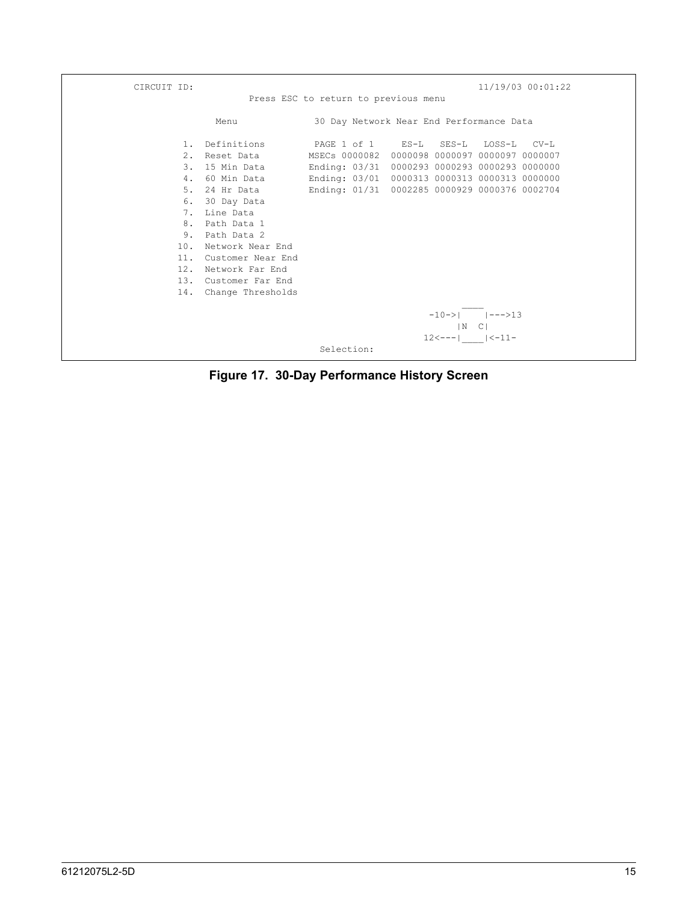| CIRCUIT ID:                          |                                                  |            |                                    | 11/19/03 00:01:22                             |
|--------------------------------------|--------------------------------------------------|------------|------------------------------------|-----------------------------------------------|
| Press ESC to return to previous menu |                                                  |            |                                    |                                               |
|                                      | 30 Day Network Near End Performance Data<br>Menu |            |                                    |                                               |
| 1.                                   | Definitions                                      |            | PAGE 1 of 1 ES-L SES-L LOSS-L CV-L |                                               |
|                                      | 2. Reset Data                                    |            |                                    | MSECs 0000082 0000098 0000097 0000097 0000007 |
|                                      | 3. 15 Min Data                                   |            |                                    | Ending: 03/31 0000293 0000293 0000293 0000000 |
|                                      | 4. 60 Min Data                                   |            |                                    | Ending: 03/01 0000313 0000313 0000313 0000000 |
|                                      | 5. 24 Hr Data                                    |            |                                    | Ending: 01/31 0002285 0000929 0000376 0002704 |
|                                      | 6. 30 Day Data                                   |            |                                    |                                               |
|                                      | 7. Line Data                                     |            |                                    |                                               |
|                                      | 8. Path Data 1                                   |            |                                    |                                               |
|                                      | 9. Path Data 2                                   |            |                                    |                                               |
|                                      | 10. Network Near End                             |            |                                    |                                               |
|                                      | 11. Customer Near End                            |            |                                    |                                               |
|                                      | 12. Network Far End                              |            |                                    |                                               |
|                                      | 13. Customer Far End                             |            |                                    |                                               |
|                                      | 14. Change Thresholds                            |            |                                    |                                               |
|                                      |                                                  |            |                                    |                                               |
|                                      |                                                  |            |                                    | $-10->$   $ --->13$                           |
|                                      |                                                  |            |                                    | $ N \ C $                                     |
|                                      |                                                  |            | $12 < - - -$   $  < -11 -$         |                                               |
|                                      |                                                  | Selection: |                                    |                                               |

<span id="page-14-0"></span>**Figure 17. 30-Day Performance History Screen**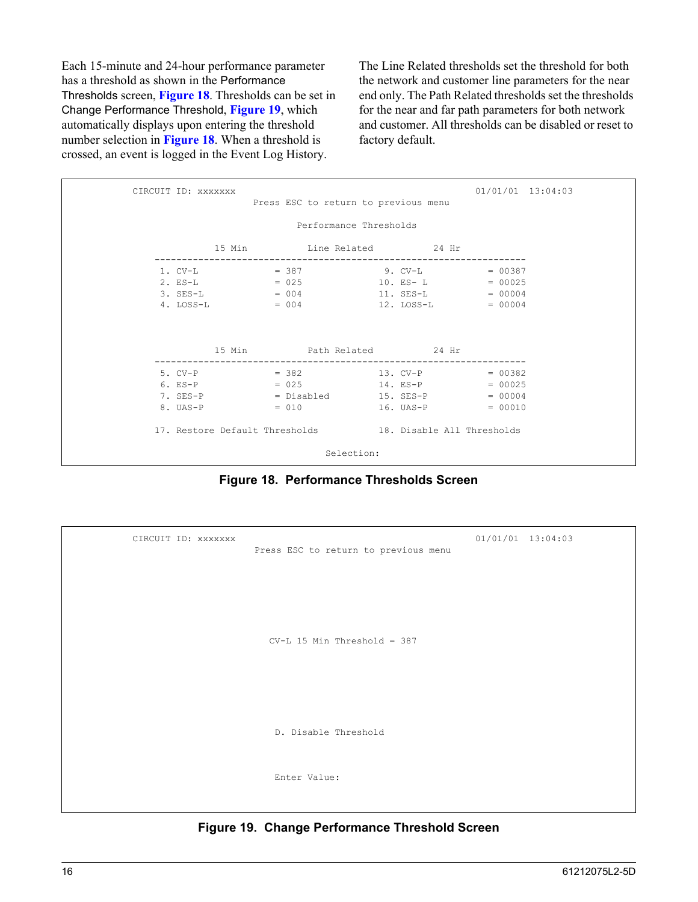Each 15-minute and 24-hour performance parameter has a threshold as shown in the Performance Thresholds screen, **[Figure 18](#page-15-0)**. Thresholds can be set in Change Performance Threshold, **[Figure 19](#page-15-1)**, which automatically displays upon entering the threshold number selection in **[Figure 18](#page-15-0)**. When a threshold is crossed, an event is logged in the Event Log History.

The Line Related thresholds set the threshold for both the network and customer line parameters for the near end only. The Path Related thresholds set the thresholds for the near and far path parameters for both network and customer. All thresholds can be disabled or reset to factory default.

| CIRCUIT ID: XXXXXXX | Press ESC to return to previous menu                      | $01/01/01$ 13:04:03 |
|---------------------|-----------------------------------------------------------|---------------------|
|                     | Performance Thresholds                                    |                     |
|                     | 15 Min Line Related 24 Hr                                 |                     |
|                     | 1. $CV-L$ = 387 9. $CV-L$ = 00387                         |                     |
|                     | 2. ES-L $= 025$ 10. ES-L $= 00025$                        |                     |
|                     | 3. SES-L $= 004$ 11. SES-L $= 000004$                     |                     |
|                     | 4. LOSS-L $= 004$ 12. LOSS-L $= 00004$                    |                     |
|                     |                                                           |                     |
|                     | 5. $CV-P$ = 382 13. $CV-P$ = 00382                        |                     |
|                     | 6. ES-P $= 025$ 14. ES-P $= 00025$                        |                     |
|                     | 7. SES-P $= Disabeled$ 15. SES-P $= 00004$                |                     |
| 8. UAS-P            | $= 010$ 16. UAS-P $= 00010$                               |                     |
|                     | 17. Restore Default Thresholds 18. Disable All Thresholds |                     |
|                     | Selection:                                                |                     |

**Figure 18. Performance Thresholds Screen**

<span id="page-15-0"></span>

| CIRCUIT ID: XXXXXXX | Press ESC to return to previous menu | 01/01/01 13:04:03 |
|---------------------|--------------------------------------|-------------------|
|                     | $CV-L$ 15 Min Threshold = 387        |                   |
|                     | D. Disable Threshold                 |                   |
|                     | Enter Value:                         |                   |

<span id="page-15-1"></span>**Figure 19. Change Performance Threshold Screen**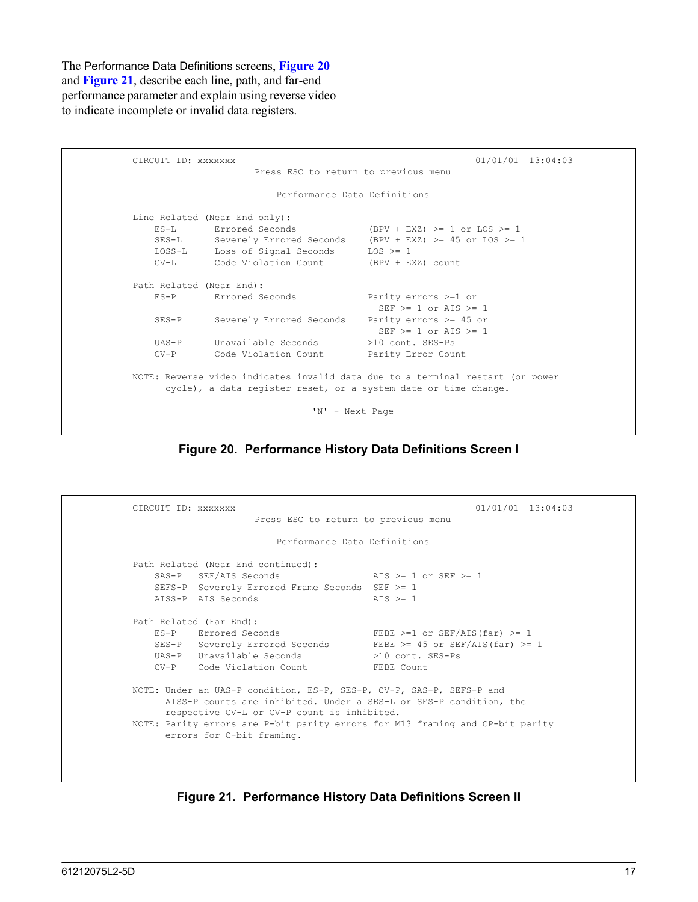The Performance Data Definitions screens, **[Figure 20](#page-16-0)** and **[Figure 21](#page-16-1)**, describe each line, path, and far-end performance parameter and explain using reverse video to indicate incomplete or invalid data registers.

CIRCUIT ID: xxxxxxx 01/01/01 13:04:03 Press ESC to return to previous menu Performance Data Definitions Line Related (Near End only):<br>ES-L Errored Seconds ES-L Errored Seconds (BPV + EXZ) >= 1 or LOS >= 1<br>SES-L Severely Errored Seconds (BPV + EXZ) >= 45 or LOS >= SES-L Severely Errored Seconds (BPV + EXZ) >= 45 or LOS >= 1 LOSS-L Loss of Signal Seconds LOS >= 1 CV-L Code Violation Count (BPV + EXZ) count Path Related (Near End): ES-P Errored Seconds Parity errors >=1 or SEF >= 1 or AIS >= 1 SES-P Severely Errored Seconds Parity errors >= 45 or  $SEF$  >= 1 or AIS >= 1 UAS-P Unavailable Seconds >10 cont. SES-Ps CV-P Code Violation Count Parity Error Count NOTE: Reverse video indicates invalid data due to a terminal restart (or power cycle), a data register reset, or a system date or time change. 'N' - Next Page

**Figure 20. Performance History Data Definitions Screen I**

<span id="page-16-0"></span>CIRCUIT ID: xxxxxxx 01/01/01 13:04:03 Press ESC to return to previous menu Performance Data Definitions Path Related (Near End continued): SAS-P SEF/AIS Seconds  $\angle$  AIS  $> = 1$  or SEF  $> = 1$  SEFS-P Severely Errored Frame Seconds SEF >= 1 AISS-P AIS Seconds AIS >= 1 Path Related (Far End): ES-P Errored Seconds FEBE >=1 or SEF/AIS(far) >= 1 SES-P Severely Errored Seconds FEBE >= 45 or SEF/AIS(far) >= 1 UAS-P Unavailable Seconds >10 cont. SES-Ps CV-P Code Violation Count FEBE Count NOTE: Under an UAS-P condition, ES-P, SES-P, CV-P, SAS-P, SEFS-P and AISS-P counts are inhibited. Under a SES-L or SES-P condition, the respective CV-L or CV-P count is inhibited. NOTE: Parity errors are P-bit parity errors for M13 framing and CP-bit parity errors for C-bit framing.

<span id="page-16-1"></span>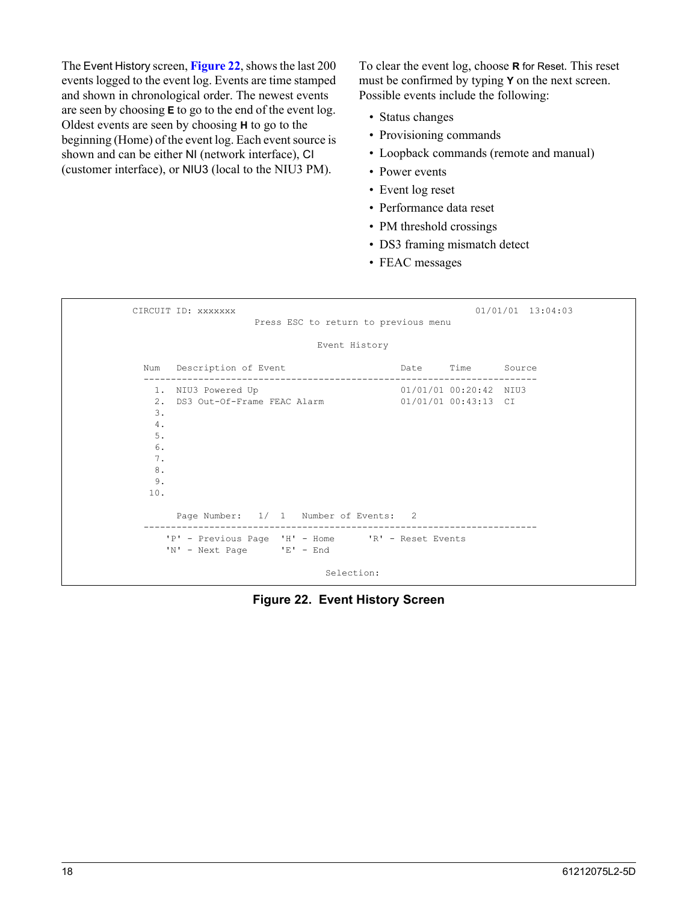The Event History screen, **[Figure 22](#page-17-0)**, shows the last 200 events logged to the event log. Events are time stamped and shown in chronological order. The newest events are seen by choosing **E** to go to the end of the event log. Oldest events are seen by choosing **H** to go to the beginning (Home) of the event log. Each event source is shown and can be either NI (network interface), CI (customer interface), or NIU3 (local to the NIU3 PM).

To clear the event log, choose **R** for Reset. This reset must be confirmed by typing **Y** on the next screen. Possible events include the following:

- Status changes
- Provisioning commands
- Loopback commands (remote and manual)
- Power events
- Event log reset
- Performance data reset
- PM threshold crossings
- DS3 framing mismatch detect
- FEAC messages

CIRCUIT ID: xxxxxxx 01/01/01 13:04:03 Press ESC to return to previous menu Event History Num Description of Event 1988 Contract Mate Time Source ------------------------------------------------------------------------ 1. NIU3 Powered Up 01/01/01 00:20:42 NIU3<br>2. DS3 Out-Of-Frame FEAC Alarm 01/01/01 00:43:13 CI 2. DS3 Out-Of-Frame FEAC Alarm 3. 4. 5. 6. 7. 8. 9. 10. Page Number:  $1/1$  Number of Events: 2 ------------------------------------------------------------------------ 'P' - Previous Page 'H' - Home 'N' - Next Page 'E' - End Selection:

<span id="page-17-0"></span>**Figure 22. Event History Screen**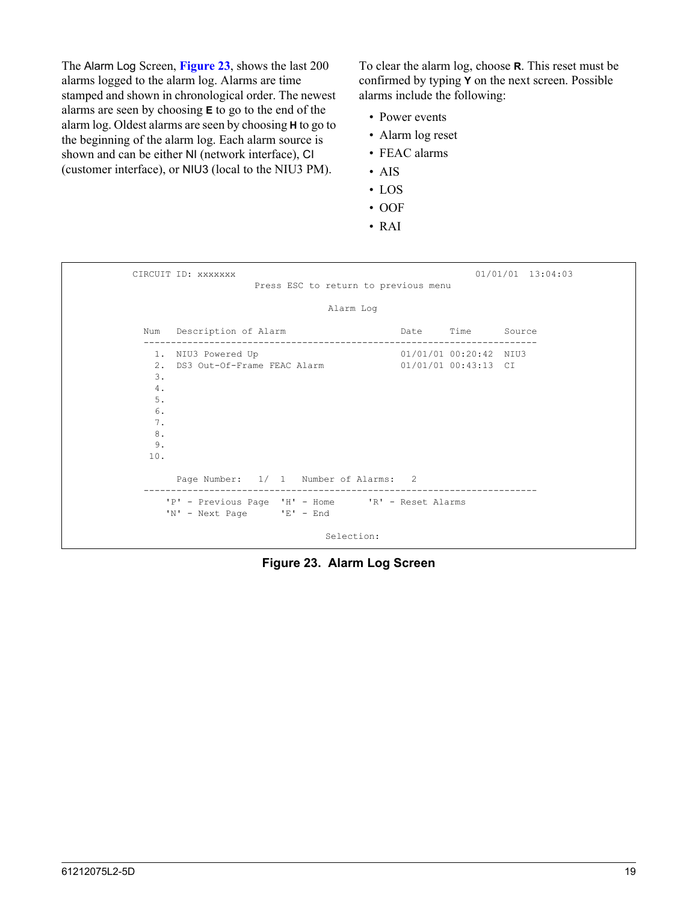The Alarm Log Screen, **[Figure 23](#page-18-0)**, shows the last 200 alarms logged to the alarm log. Alarms are time stamped and shown in chronological order. The newest alarms are seen by choosing **E** to go to the end of the alarm log. Oldest alarms are seen by choosing **H** to go to the beginning of the alarm log. Each alarm source is shown and can be either NI (network interface), CI (customer interface), or NIU3 (local to the NIU3 PM).

To clear the alarm log, choose **R**. This reset must be confirmed by typing **Y** on the next screen. Possible alarms include the following:

- Power events
- Alarm log reset
- FEAC alarms
- $\cdot$  AIS
- ï LOS
- $\cdot$  OOF
- ï RAI



<span id="page-18-0"></span>**Figure 23. Alarm Log Screen**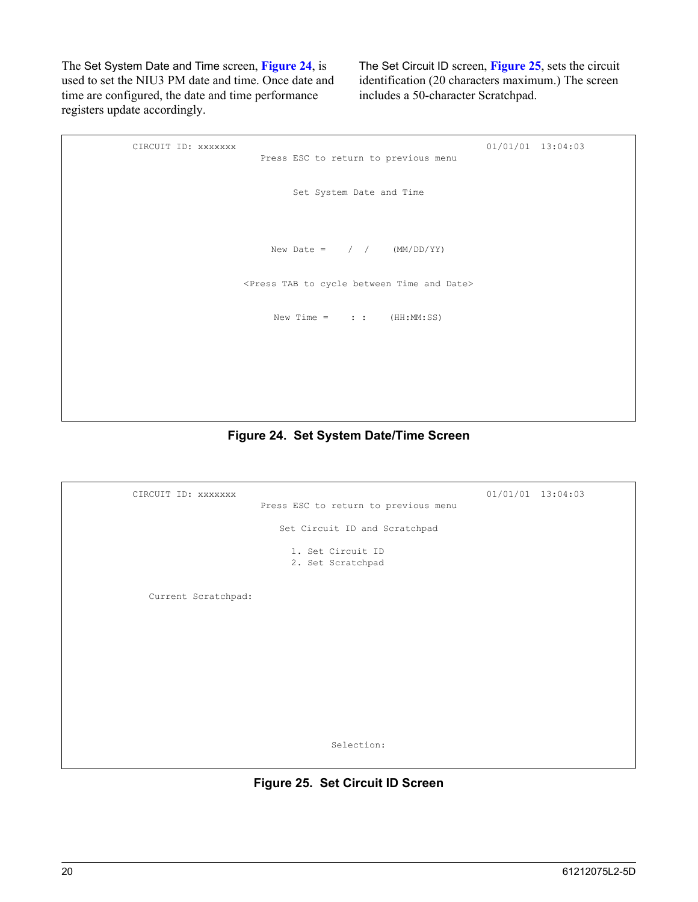The Set System Date and Time screen, **[Figure 24](#page-19-0)**, is used to set the NIU3 PM date and time. Once date and time are configured, the date and time performance registers update accordingly.

The Set Circuit ID screen, **[Figure 25](#page-19-1)**, sets the circuit identification (20 characters maximum.) The screen includes a 50-character Scratchpad.

CIRCUIT ID: xxxxxxx 01/01/01 13:04:03 Press ESC to return to previous menu Set System Date and Time New Date =  $/(M/M/DD/YY)$ <Press TAB to cycle between Time and Date>  $New Time = : : (HH:MM:SS)$ 

**Figure 24. Set System Date/Time Screen**

<span id="page-19-0"></span>

<span id="page-19-1"></span>**Figure 25. Set Circuit ID Screen**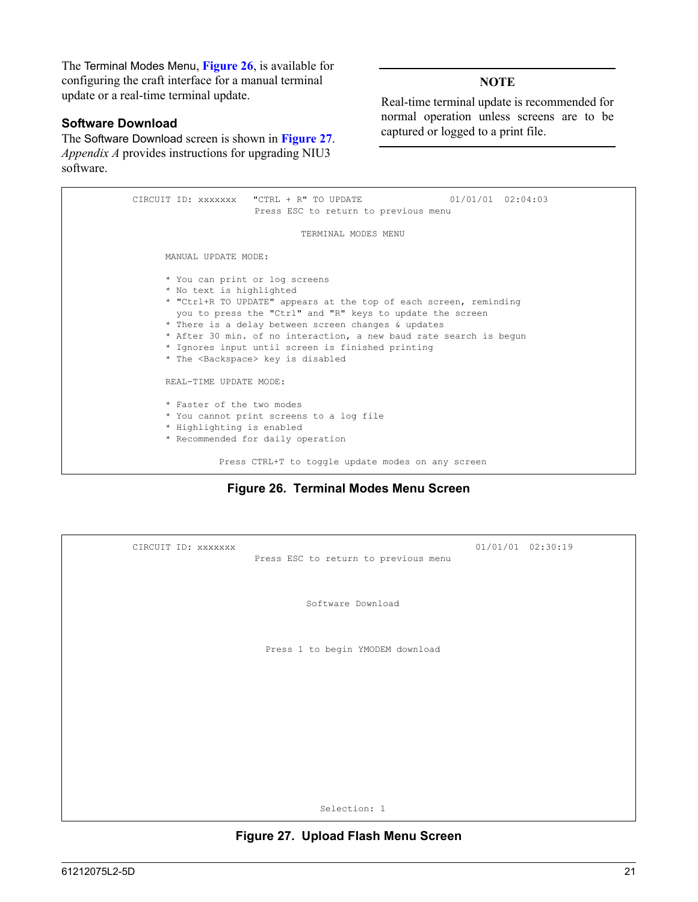The Terminal Modes Menu, **[Figure 26](#page-20-0)**, is available for configuring the craft interface for a manual terminal update or a real-time terminal update.

#### **Software Download**

The Software Download screen is shown in **[Figure 27](#page-20-1)**. *Appendix A* provides instructions for upgrading NIU3 software.

#### **NOTE**

Real-time terminal update is recommended for normal operation unless screens are to be captured or logged to a print file.

CIRCUIT ID:  $\text{xxxxxx}$  "CTRL + R" TO UPDATE 01/01/01 02:04:03 Press ESC to return to previous menu TERMINAL MODES MENU MANUAL UPDATE MODE: \* You can print or log screens \* No text is highlighted \* "Ctrl+R TO UPDATE" appears at the top of each screen, reminding you to press the "Ctrl" and "R" keys to update the screen \* There is a delay between screen changes & updates \* After 30 min. of no interaction, a new baud rate search is begun \* Ignores input until screen is finished printing \* The <Backspace> key is disabled REAL-TIME UPDATE MODE: \* Faster of the two modes \* You cannot print screens to a log file \* Highlighting is enabled \* Recommended for daily operation Press CTRL+T to toggle update modes on any screen

# **Figure 26. Terminal Modes Menu Screen**

<span id="page-20-0"></span>

| CIRCUIT ID: XXXXXXX | Press ESC to return to previous menu | 01/01/01 02:30:19 |  |
|---------------------|--------------------------------------|-------------------|--|
|                     | Software Download                    |                   |  |
|                     | Press 1 to begin YMODEM download     |                   |  |
|                     |                                      |                   |  |
|                     |                                      |                   |  |
|                     |                                      |                   |  |
|                     | Selection: 1                         |                   |  |

<span id="page-20-1"></span>**Figure 27. Upload Flash Menu Screen**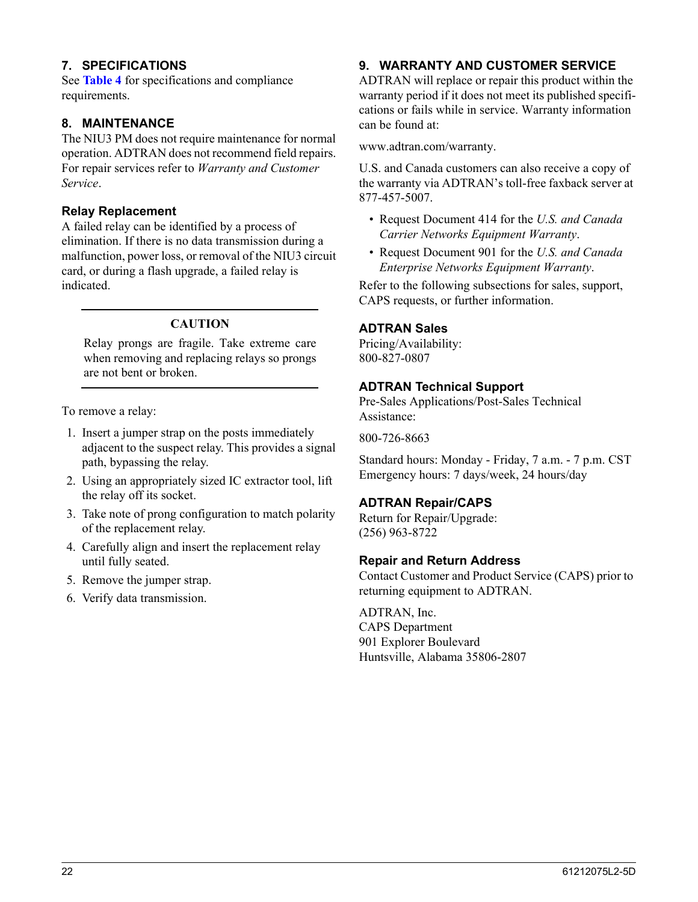## <span id="page-21-0"></span>**7. SPECIFICATIONS**

See **[Table 4](#page-22-0)** for specifications and compliance requirements.

## <span id="page-21-1"></span>**8. MAINTENANCE**

The NIU3 PM does not require maintenance for normal operation. ADTRAN does not recommend field repairs. For repair services refer to *Warranty and Customer Service*.

#### **Relay Replacement**

A failed relay can be identified by a process of elimination. If there is no data transmission during a malfunction, power loss, or removal of the NIU3 circuit card, or during a flash upgrade, a failed relay is indicated.

#### **CAUTION**

Relay prongs are fragile. Take extreme care when removing and replacing relays so prongs are not bent or broken.

To remove a relay:

- 1. Insert a jumper strap on the posts immediately adjacent to the suspect relay. This provides a signal path, bypassing the relay.
- 2. Using an appropriately sized IC extractor tool, lift the relay off its socket.
- 3. Take note of prong configuration to match polarity of the replacement relay.
- 4. Carefully align and insert the replacement relay until fully seated.
- 5. Remove the jumper strap.
- 6. Verify data transmission.

## <span id="page-21-2"></span>**9. WARRANTY AND CUSTOMER SERVICE**

ADTRAN will replace or repair this product within the warranty period if it does not meet its published specifications or fails while in service. Warranty information can be found at:

www.adtran.com/warranty.

U.S. and Canada customers can also receive a copy of the warranty via ADTRAN's toll-free faxback server at 877-457-5007.

- ï Request Document 414 for the *U.S. and Canada Carrier Networks Equipment Warranty*.
- Request Document 901 for the *U.S. and Canada Enterprise Networks Equipment Warranty*.

Refer to the following subsections for sales, support, CAPS requests, or further information.

#### **ADTRAN Sales**

Pricing/Availability: 800-827-0807

#### **ADTRAN Technical Support**

Pre-Sales Applications/Post-Sales Technical Assistance:

800-726-8663

Standard hours: Monday - Friday, 7 a.m. - 7 p.m. CST Emergency hours: 7 days/week, 24 hours/day

#### **ADTRAN Repair/CAPS**

Return for Repair/Upgrade: (256) 963-8722

#### **Repair and Return Address**

Contact Customer and Product Service (CAPS) prior to returning equipment to ADTRAN.

ADTRAN, Inc. CAPS Department 901 Explorer Boulevard Huntsville, Alabama 35806-2807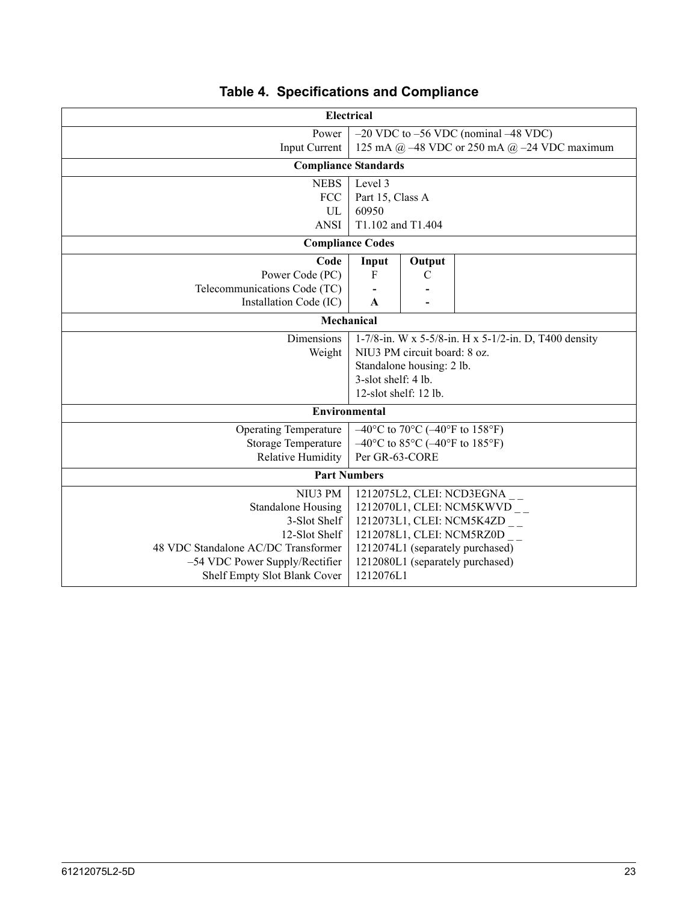<span id="page-22-0"></span>

| <b>Electrical</b>                                      |                                                                                                                                                                    |  |  |  |
|--------------------------------------------------------|--------------------------------------------------------------------------------------------------------------------------------------------------------------------|--|--|--|
| Power                                                  | $-20$ VDC to $-56$ VDC (nominal $-48$ VDC)                                                                                                                         |  |  |  |
| <b>Input Current</b>                                   | 125 mA @ $-48$ VDC or 250 mA @ $-24$ VDC maximum                                                                                                                   |  |  |  |
| <b>Compliance Standards</b>                            |                                                                                                                                                                    |  |  |  |
| <b>NEBS</b>                                            | Level 3                                                                                                                                                            |  |  |  |
| FCC                                                    | Part 15, Class A                                                                                                                                                   |  |  |  |
| $UL$<br><b>ANSI</b>                                    | 60950<br>T1.102 and T1.404                                                                                                                                         |  |  |  |
|                                                        |                                                                                                                                                                    |  |  |  |
| <b>Compliance Codes</b>                                |                                                                                                                                                                    |  |  |  |
| Code<br>Power Code (PC)                                | Input<br>Output<br>F<br>C                                                                                                                                          |  |  |  |
| Telecommunications Code (TC)                           |                                                                                                                                                                    |  |  |  |
| Installation Code (IC)                                 | A                                                                                                                                                                  |  |  |  |
| Mechanical                                             |                                                                                                                                                                    |  |  |  |
| Dimensions<br>Weight                                   | 1-7/8-in. W x 5-5/8-in. H x 5-1/2-in. D, T400 density<br>NIU3 PM circuit board: 8 oz.<br>Standalone housing: 2 lb.<br>3-slot shelf: 4 lb.<br>12-slot shelf: 12 lb. |  |  |  |
| Environmental                                          |                                                                                                                                                                    |  |  |  |
| <b>Operating Temperature</b>                           | $-40^{\circ}$ C to 70°C ( $-40^{\circ}$ F to 158°F)                                                                                                                |  |  |  |
| <b>Storage Temperature</b><br><b>Relative Humidity</b> | $-40^{\circ}$ C to 85 $^{\circ}$ C ( $-40^{\circ}$ F to 185 $^{\circ}$ F)<br>Per GR-63-CORE                                                                        |  |  |  |
|                                                        |                                                                                                                                                                    |  |  |  |
| <b>Part Numbers</b>                                    |                                                                                                                                                                    |  |  |  |
| NIU3 PM<br><b>Standalone Housing</b>                   | 1212075L2, CLEI: NCD3EGNA__<br>1212070L1, CLEI: NCM5KWVD__                                                                                                         |  |  |  |
| 3-Slot Shelf                                           | 1212073L1, CLEI: NCM5K4ZD__                                                                                                                                        |  |  |  |
| 12-Slot Shelf                                          | 1212078L1, CLEI: NCM5RZ0D                                                                                                                                          |  |  |  |
| 48 VDC Standalone AC/DC Transformer                    | 1212074L1 (separately purchased)                                                                                                                                   |  |  |  |
| -54 VDC Power Supply/Rectifier                         | 1212080L1 (separately purchased)                                                                                                                                   |  |  |  |
| Shelf Empty Slot Blank Cover                           | 1212076L1                                                                                                                                                          |  |  |  |

# **Table 4. Specifications and Compliance**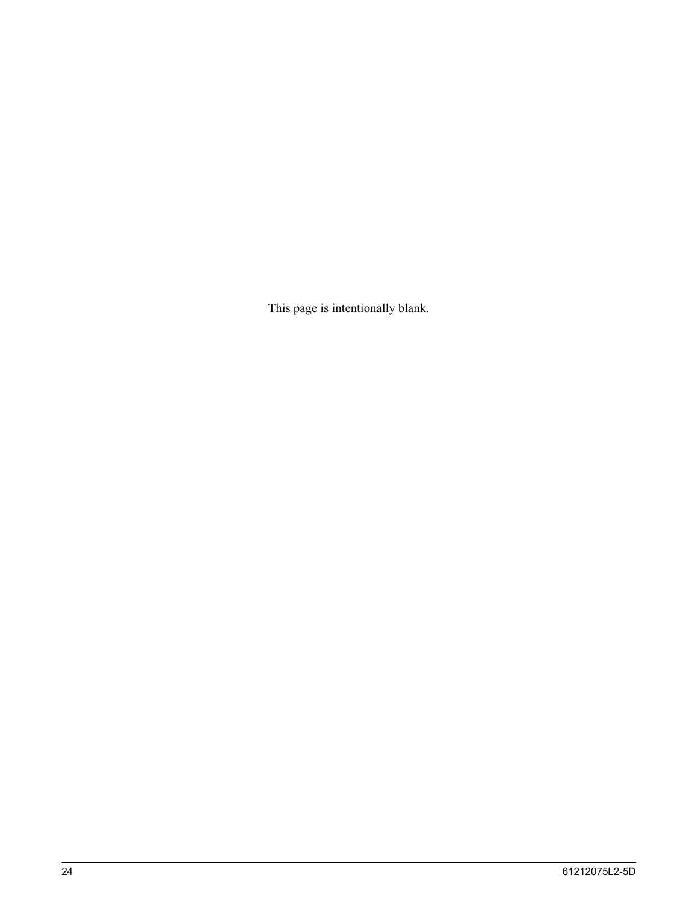This page is intentionally blank.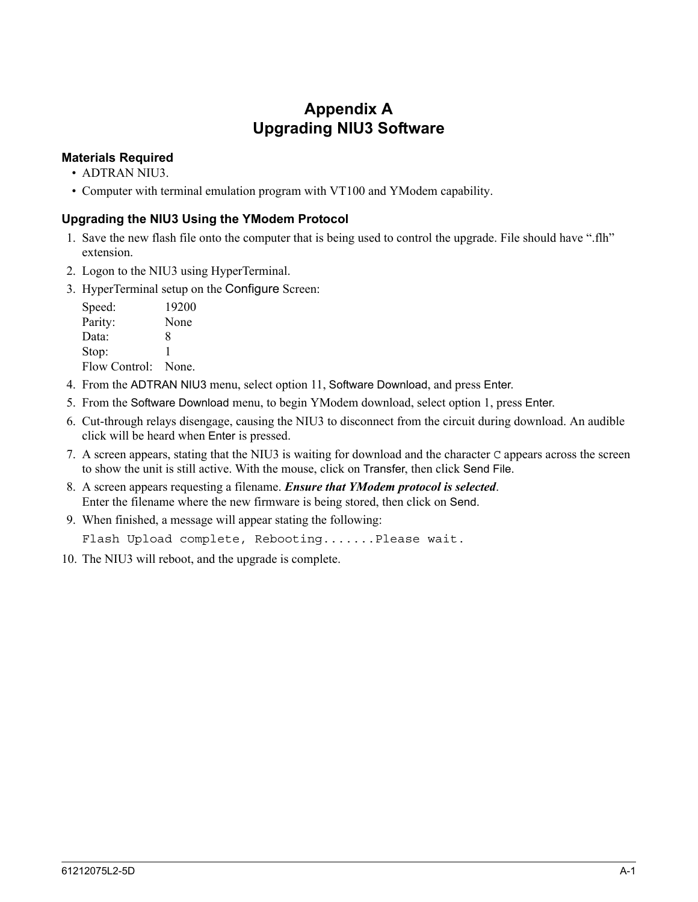# **Appendix A Upgrading NIU3 Software**

# <span id="page-24-0"></span>**Materials Required**

- $\cdot$  ADTRAN NIU3.
- Computer with terminal emulation program with VT100 and YModem capability.

## **Upgrading the NIU3 Using the YModem Protocol**

- 1. Save the new flash file onto the computer that is being used to control the upgrade. File should have ".flh" extension.
- 2. Logon to the NIU3 using HyperTerminal.
- 3. HyperTerminal setup on the Configure Screen:

| Speed:        | 19200 |
|---------------|-------|
| Parity:       | None  |
| Data:         | 8     |
| Stop:         | 1     |
| Flow Control: | None  |

- 4. From the ADTRAN NIU3 menu, select option 11, Software Download, and press Enter.
- 5. From the Software Download menu, to begin YModem download, select option 1, press Enter.
- 6. Cut-through relays disengage, causing the NIU3 to disconnect from the circuit during download. An audible click will be heard when Enter is pressed.
- 7. A screen appears, stating that the NIU3 is waiting for download and the character C appears across the screen to show the unit is still active. With the mouse, click on Transfer, then click Send File.
- 8. A screen appears requesting a filename. *Ensure that YModem protocol is selected*. Enter the filename where the new firmware is being stored, then click on Send.
- 9. When finished, a message will appear stating the following:

Flash Upload complete, Rebooting.......Please wait.

10. The NIU3 will reboot, and the upgrade is complete.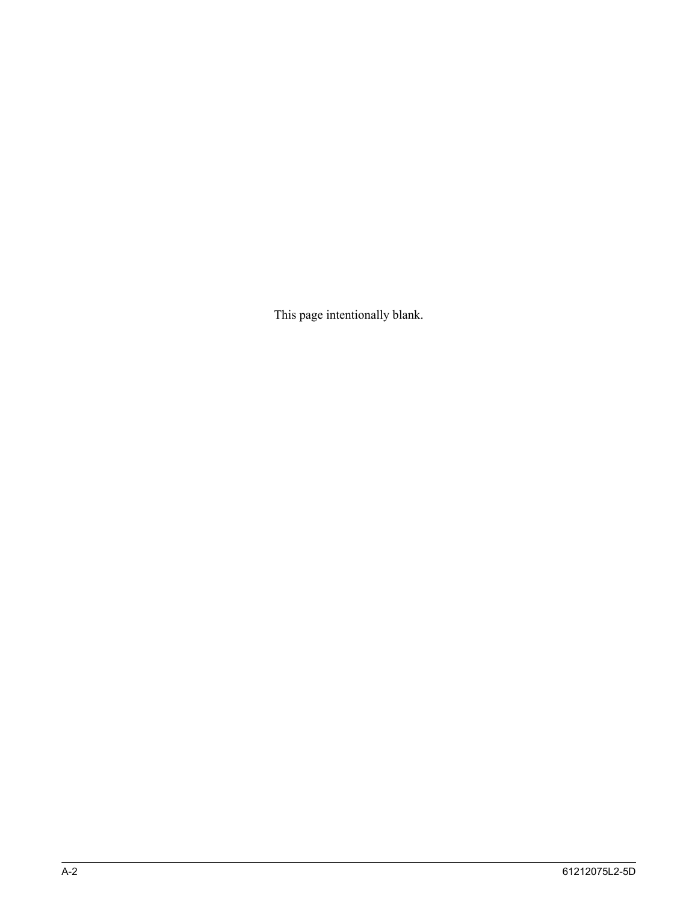This page intentionally blank.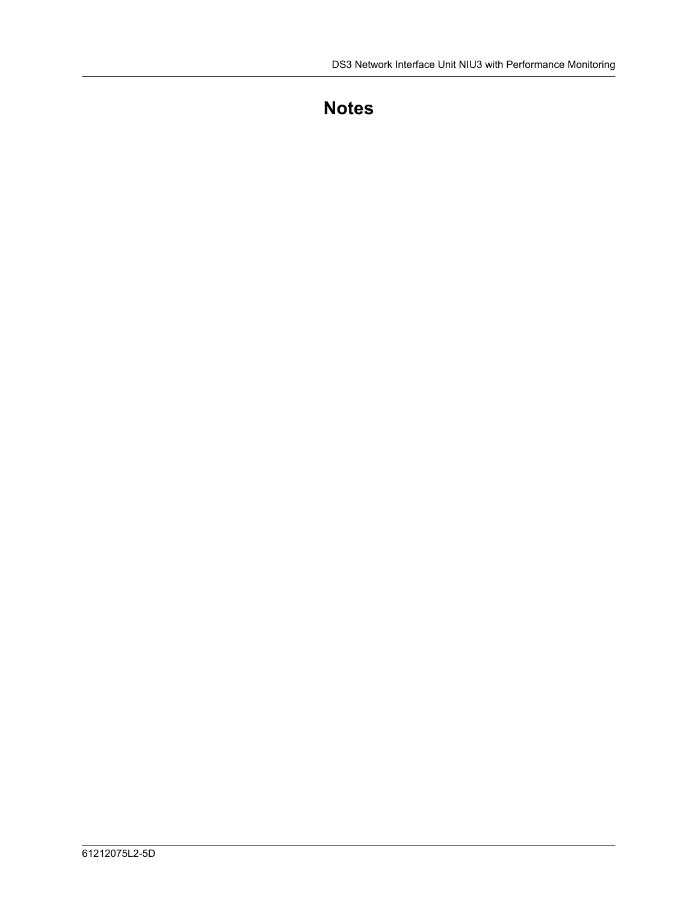# **Notes**